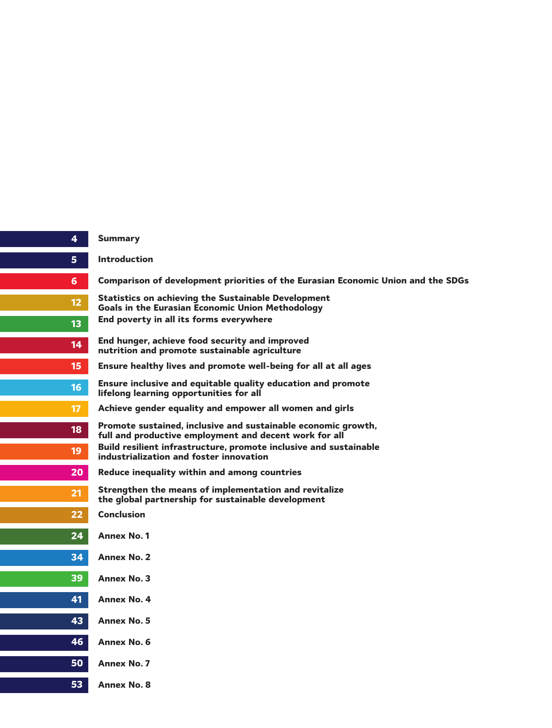| 4               |  |
|-----------------|--|
| 5               |  |
| $\overline{6}$  |  |
| $12$            |  |
| 13              |  |
| 14              |  |
| 15              |  |
| 16              |  |
| 17              |  |
| 18              |  |
| 19              |  |
| 20              |  |
| 21              |  |
| 22              |  |
| 24              |  |
| 34              |  |
| 39              |  |
| 41              |  |
| 43              |  |
| 46              |  |
| $\overline{50}$ |  |
| 53              |  |

#### **Summary**

**Introduction**

**Comparison of development priorities of the Eurasian Economic Union and the SDGs**

**Statistics on achieving the Sustainable Development Goals in the Eurasian Economic Union Methodology End poverty in all its forms everywhere**

**End hunger, achieve food security and improved nutrition and promote sustainable agriculture**

**Ensure healthy lives and promote well-being for all at all ages**

**Ensure inclusive and equitable quality education and promote lifelong learning opportunities for all**

**Achieve gender equality and empower all women and girls**

**Promote sustained, inclusive and sustainable economic growth, full and productive employment and decent work for all Build resilient infrastructure, promote inclusive and sustainable industrialization and foster innovation**

- **Reduce inequality within and among countries**
- **Strengthen the means of implementation and revitalize the global partnership for sustainable development**
- **Conclusion**
- **Annex No. 1**
- **Annex No. 2**
- **Annex No. 3**
- **Annex No. 4**
- **Annex No. 5**
- **Annex No. 6**
- **Annex No. 7**
	- **Annex No. 8**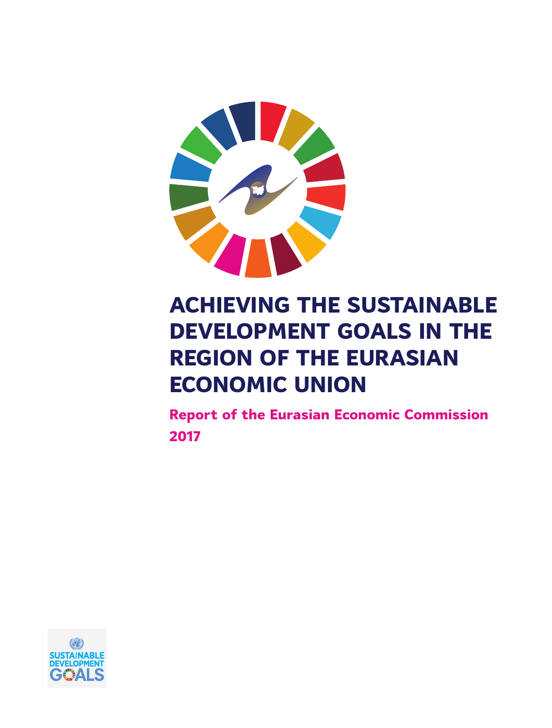

# **ACHIEVING THE SUSTAINABLE DEVELOPMENT GOALS IN THE REGION OF THE EURASIAN ECONOMIC UNION**

**Report of the Eurasian Economic Commission 2017**

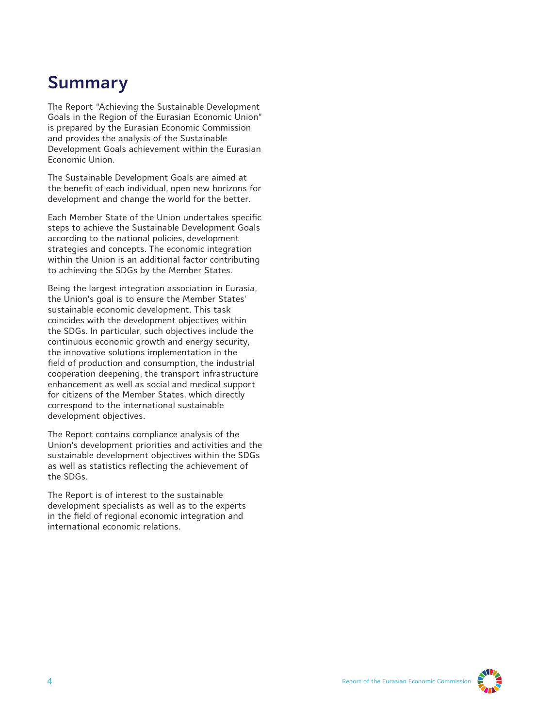# **Summary**

The Report "Achieving the Sustainable Development Goals in the Region of the Eurasian Economic Union" is prepared by the Eurasian Economic Commission and provides the analysis of the Sustainable Development Goals achievement within the Eurasian Economic Union.

The Sustainable Development Goals are aimed at the benefit of each individual, open new horizons for development and change the world for the better.

Each Member State of the Union undertakes specific steps to achieve the Sustainable Development Goals according to the national policies, development strategies and concepts. The economic integration within the Union is an additional factor contributing to achieving the SDGs by the Member States.

Being the largest integration association in Eurasia, the Union's goal is to ensure the Member States' sustainable economic development. This task coincides with the development objectives within the SDGs. In particular, such objectives include the continuous economic growth and energy security, the innovative solutions implementation in the field of production and consumption, the industrial cooperation deepening, the transport infrastructure enhancement as well as social and medical support for citizens of the Member States, which directly correspond to the international sustainable development objectives.

The Report contains compliance analysis of the Union's development priorities and activities and the sustainable development objectives within the SDGs as well as statistics reflecting the achievement of the SDGs.

The Report is of interest to the sustainable development specialists as well as to the experts in the field of regional economic integration and international economic relations.

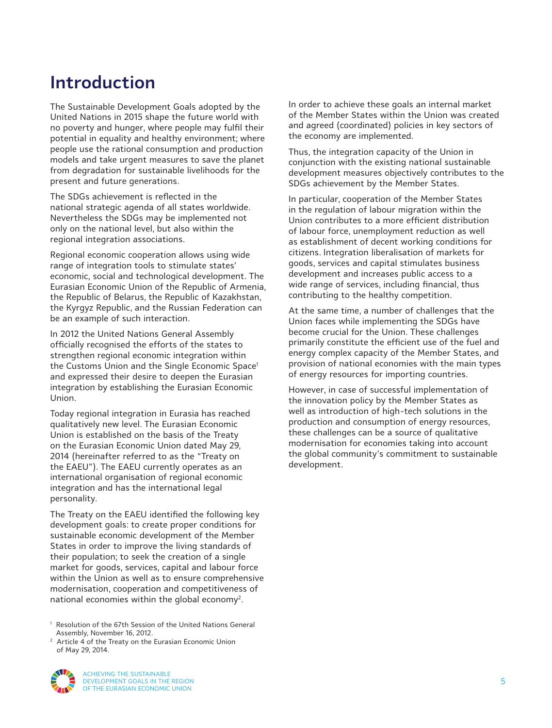### **Introduction**

The Sustainable Development Goals adopted by the United Nations in 2015 shape the future world with no poverty and hunger, where people may fulfil their potential in equality and healthy environment; where people use the rational consumption and production models and take urgent measures to save the planet from degradation for sustainable livelihoods for the present and future generations.

The SDGs achievement is reflected in the national strategic agenda of all states worldwide. Nevertheless the SDGs may be implemented not only on the national level, but also within the regional integration associations.

Regional economic cooperation allows using wide range of integration tools to stimulate states' economic, social and technological development. The Eurasian Economic Union of the Republic of Armenia, the Republic of Belarus, the Republic of Kazakhstan, the Kyrgyz Republic, and the Russian Federation can be an example of such interaction.

In 2012 the United Nations General Assembly officially recognised the efforts of the states to strengthen regional economic integration within the Customs Union and the Single Economic Space $^{\rm 1}$ and expressed their desire to deepen the Eurasian integration by establishing the Eurasian Economic Union.

Today regional integration in Eurasia has reached qualitatively new level. The Eurasian Economic Union is established on the basis of the Treaty on the Eurasian Economic Union dated May 29, 2014 (hereinafter referred to as the "Treaty on the EAEU"). The EAEU currently operates as an international organisation of regional economic integration and has the international legal personality.

The Treaty on the EAEU identified the following key development goals: to create proper conditions for sustainable economic development of the Member States in order to improve the living standards of their population; to seek the creation of a single market for goods, services, capital and labour force within the Union as well as to ensure comprehensive modernisation, cooperation and competitiveness of national economies within the global economy<sup>2</sup>.

1 Resolution of the 67th Session of the United Nations General Assembly, November 16, 2012.

<sup>2</sup> Article 4 of the Treaty on the Eurasian Economic Union of May 29, 2014.



In order to achieve these goals an internal market of the Member States within the Union was created and agreed (coordinated) policies in key sectors of the economy are implemented.

Thus, the integration capacity of the Union in conjunction with the existing national sustainable development measures objectively contributes to the SDGs achievement by the Member States.

In particular, cooperation of the Member States in the regulation of labour migration within the Union contributes to a more efficient distribution of labour force, unemployment reduction as well as establishment of decent working conditions for citizens. Integration liberalisation of markets for goods, services and capital stimulates business development and increases public access to a wide range of services, including financial, thus contributing to the healthy competition.

At the same time, a number of challenges that the Union faces while implementing the SDGs have become crucial for the Union. These challenges primarily constitute the efficient use of the fuel and energy complex capacity of the Member States, and provision of national economies with the main types of energy resources for importing countries.

However, in case of successful implementation of the innovation policy by the Member States as well as introduction of high-tech solutions in the production and consumption of energy resources, these challenges can be a source of qualitative modernisation for economies taking into account the global community's commitment to sustainable development.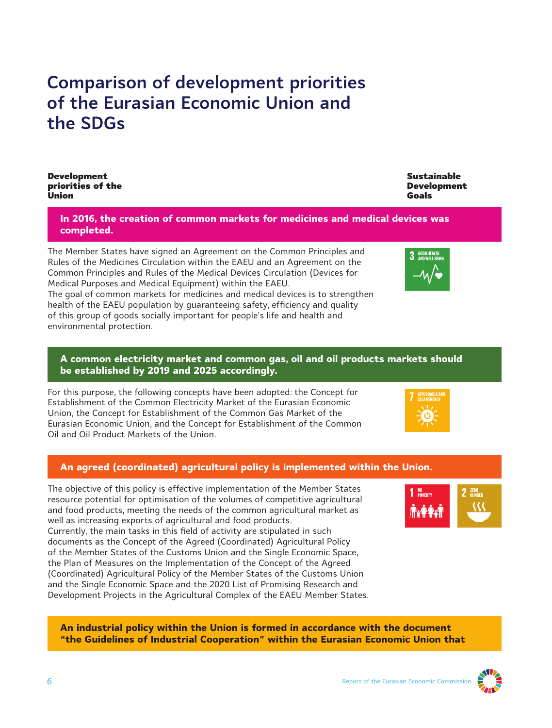### **Comparison of development priorities of the Eurasian Economic Union and the SDGs**

Development priorities of the Union

> **In 2016, the creation of common markets for medicines and medical devices was completed.**

The Member States have signed an Agreement on the Common Principles and Rules of the Medicines Circulation within the EAEU and an Agreement on the Common Principles and Rules of the Medical Devices Circulation (Devices for Medical Purposes and Medical Equipment) within the EAEU.

The goal of common markets for medicines and medical devices is to strengthen health of the EAEU population by guaranteeing safety, efficiency and quality of this group of goods socially important for people's life and health and environmental protection.

### **A common electricity market and common gas, oil and oil products markets should be established by 2019 and 2025 accordingly.**

For this purpose, the following concepts have been adopted: the Concept for Establishment of the Common Electricity Market of the Eurasian Economic Union, the Concept for Establishment of the Common Gas Market of the Eurasian Economic Union, and the Concept for Establishment of the Common Oil and Oil Product Markets of the Union.

### **An agreed (coordinated) agricultural policy is implemented within the Union.**

The objective of this policy is effective implementation of the Member States resource potential for optimisation of the volumes of competitive agricultural and food products, meeting the needs of the common agricultural market as well as increasing exports of agricultural and food products.

Currently, the main tasks in this field of activity are stipulated in such documents as the Concept of the Agreed (Coordinated) Agricultural Policy of the Member States of the Customs Union and the Single Economic Space, the Plan of Measures on the Implementation of the Concept of the Agreed (Coordinated) Agricultural Policy of the Member States of the Customs Union and the Single Economic Space and the 2020 List of Promising Research and Development Projects in the Agricultural Complex of the EAEU Member States.

**An industrial policy within the Union is formed in accordance with the document "the Guidelines of Industrial Cooperation" within the Eurasian Economic Union that**



Sustainable Development

Goals







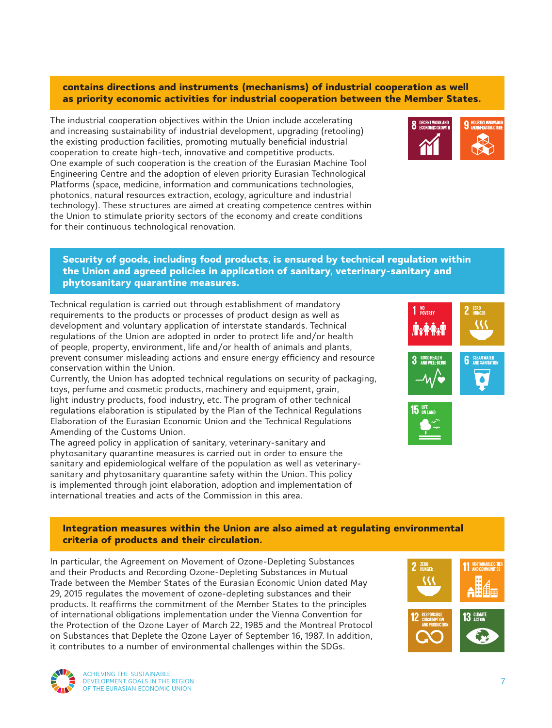### **contains directions and instruments (mechanisms) of industrial cooperation as well as priority economic activities for industrial cooperation between the Member States.**

The industrial cooperation objectives within the Union include accelerating and increasing sustainability of industrial development, upgrading (retooling) the existing production facilities, promoting mutually beneficial industrial cooperation to create high-tech, innovative and competitive products. One example of such cooperation is the creation of the Eurasian Machine Tool Engineering Centre and the adoption of eleven priority Eurasian Technological Platforms (space, medicine, information and communications technologies, photonics, natural resources extraction, ecology, agriculture and industrial technology). These structures are aimed at creating competence centres within the Union to stimulate priority sectors of the economy and create conditions for their continuous technological renovation.



### **Security of goods, including food products, is ensured by technical regulation within the Union and agreed policies in application of sanitary, veterinary-sanitary and phytosanitary quarantine measures.**

Technical regulation is carried out through establishment of mandatory requirements to the products or processes of product design as well as development and voluntary application of interstate standards. Technical regulations of the Union are adopted in order to protect life and/or health of people, property, environment, life and/or health of animals and plants, prevent consumer misleading actions and ensure energy efficiency and resource conservation within the Union.

Currently, the Union has adopted technical regulations on security of packaging, toys, perfume and cosmetic products, machinery and equipment, grain, light industry products, food industry, etc. The program of other technical regulations elaboration is stipulated by the Plan of the Technical Regulations Elaboration of the Eurasian Economic Union and the Technical Regulations Amending of the Customs Union.

The agreed policy in application of sanitary, veterinary-sanitary and phytosanitary quarantine measures is carried out in order to ensure the sanitary and epidemiological welfare of the population as well as veterinarysanitary and phytosanitary quarantine safety within the Union. This policy is implemented through joint elaboration, adoption and implementation of international treaties and acts of the Commission in this area.



### **Integration measures within the Union are also aimed at regulating environmental criteria of products and their circulation.**

In particular, the Agreement on Movement of Ozone-Depleting Substances and their Products and Recording Ozone-Depleting Substances in Mutual Trade between the Member States of the Eurasian Economic Union dated May 29, 2015 regulates the movement of ozone-depleting substances and their products. It reaffirms the commitment of the Member States to the principles of international obligations implementation under the Vienna Convention for the Protection of the Ozone Layer of March 22, 1985 and the Montreal Protocol on Substances that Deplete the Ozone Layer of September 16, 1987. In addition, it contributes to a number of environmental challenges within the SDGs.





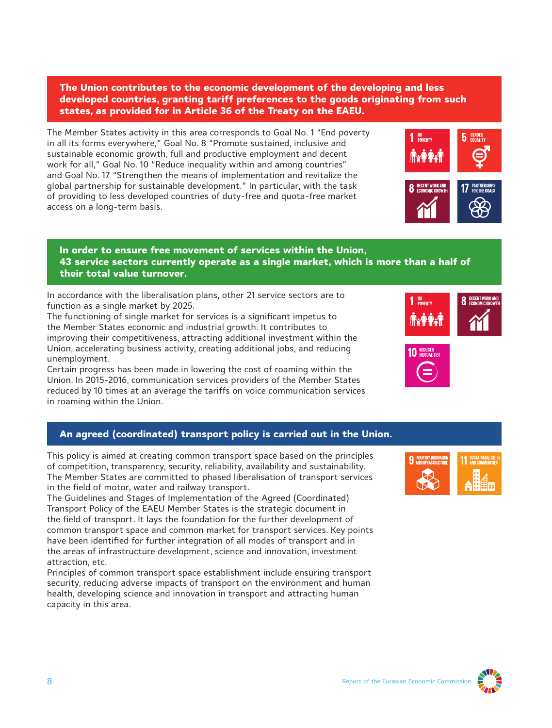**The Union contributes to the economic development of the developing and less developed countries, granting tariff preferences to the goods originating from such states, as provided for in Article 36 of the Treaty on the EAEU.**

The Member States activity in this area corresponds to Goal No. 1 "End poverty in all its forms everywhere," Goal No. 8 "Promote sustained, inclusive and sustainable economic growth, full and productive employment and decent work for all," Goal No. 10 "Reduce inequality within and among countries" and Goal No. 17 "Strengthen the means of implementation and revitalize the global partnership for sustainable development." In particular, with the task of providing to less developed countries of duty-free and quota-free market access on a long-term basis.

#### **In order to ensure free movement of services within the Union, 43 service sectors currently operate as a single market, which is more than a half of their total value turnover.**

In accordance with the liberalisation plans, other 21 service sectors are to function as a single market by 2025.

The functioning of single market for services is a significant impetus to the Member States economic and industrial growth. It contributes to improving their competitiveness, attracting additional investment within the Union, accelerating business activity, creating additional jobs, and reducing unemployment.

Certain progress has been made in lowering the cost of roaming within the Union. In 2015-2016, communication services providers of the Member States reduced by 10 times at an average the tariffs on voice communication services in roaming within the Union.

### **An agreed (coordinated) transport policy is carried out in the Union.**

This policy is aimed at creating common transport space based on the principles of competition, transparency, security, reliability, availability and sustainability. The Member States are committed to phased liberalisation of transport services in the field of motor, water and railway transport.

The Guidelines and Stages of Implementation of the Agreed (Coordinated) Transport Policy of the EAEU Member States is the strategic document in the field of transport. It lays the foundation for the further development of common transport space and common market for transport services. Key points have been identified for further integration of all modes of transport and in the areas of infrastructure development, science and innovation, investment attraction, etc.

Principles of common transport space establishment include ensuring transport security, reducing adverse impacts of transport on the environment and human health, developing science and innovation in transport and attracting human capacity in this area.







 $\bf{5}$  GENDER

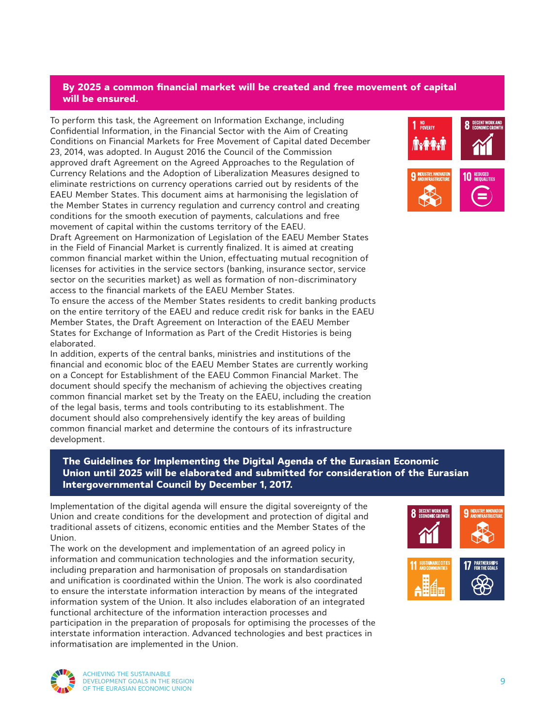### **By 2025 a common financial market will be created and free movement of capital will be ensured.**

To perform this task, the Agreement on Information Exchange, including Confidential Information, in the Financial Sector with the Aim of Creating Conditions on Financial Markets for Free Movement of Capital dated December 23, 2014, was adopted. In August 2016 the Council of the Commission approved draft Agreement on the Agreed Approaches to the Regulation of Currency Relations and the Adoption of Liberalization Measures designed to eliminate restrictions on currency operations carried out by residents of the EAEU Member States. This document aims at harmonising the legislation of the Member States in currency regulation and currency control and creating conditions for the smooth execution of payments, calculations and free movement of capital within the customs territory of the EAEU. Draft Agreement on Harmonization of Legislation of the EAEU Member States

in the Field of Financial Market is currently finalized. It is aimed at creating common financial market within the Union, effectuating mutual recognition of licenses for activities in the service sectors (banking, insurance sector, service sector on the securities market) as well as formation of non-discriminatory access to the financial markets of the EAEU Member States.

To ensure the access of the Member States residents to credit banking products on the entire territory of the EAEU and reduce credit risk for banks in the EAEU Member States, the Draft Agreement on Interaction of the EAEU Member States for Exchange of Information as Part of the Credit Histories is being elaborated.

In addition, experts of the central banks, ministries and institutions of the financial and economic bloc of the EAEU Member States are currently working on a Concept for Establishment of the EAEU Common Financial Market. The document should specify the mechanism of achieving the objectives creating common financial market set by the Treaty on the EAEU, including the creation of the legal basis, terms and tools contributing to its establishment. The document should also comprehensively identify the key areas of building common financial market and determine the contours of its infrastructure development.

### **The Guidelines for Implementing the Digital Agenda of the Eurasian Economic Union until 2025 will be elaborated and submitted for consideration of the Eurasian Intergovernmental Council by December 1, 2017.**

Implementation of the digital agenda will ensure the digital sovereignty of the Union and create conditions for the development and protection of digital and traditional assets of citizens, economic entities and the Member States of the Union.

The work on the development and implementation of an agreed policy in information and communication technologies and the information security, including preparation and harmonisation of proposals on standardisation and unification is coordinated within the Union. The work is also coordinated to ensure the interstate information interaction by means of the integrated information system of the Union. It also includes elaboration of an integrated functional architecture of the information interaction processes and participation in the preparation of proposals for optimising the processes of the interstate information interaction. Advanced technologies and best practices in informatisation are implemented in the Union.





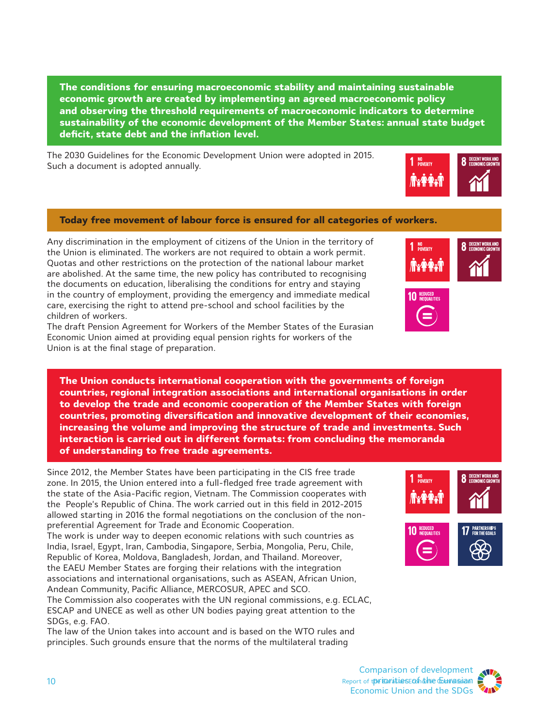**The conditions for ensuring macroeconomic stability and maintaining sustainable economic growth are created by implementing an agreed macroeconomic policy and observing the threshold requirements of macroeconomic indicators to determine sustainability of the economic development of the Member States: annual state budget deficit, state debt and the inflation level.**

The 2030 Guidelines for the Economic Development Union were adopted in 2015. Such a document is adopted annually.

### **Today free movement of labour force is ensured for all categories of workers.**

Any discrimination in the employment of citizens of the Union in the territory of the Union is eliminated. The workers are not required to obtain a work permit. Quotas and other restrictions on the protection of the national labour market are abolished. At the same time, the new policy has contributed to recognising the documents on education, liberalising the conditions for entry and staying in the country of employment, providing the emergency and immediate medical care, exercising the right to attend pre-school and school facilities by the children of workers.

The draft Pension Agreement for Workers of the Member States of the Eurasian Economic Union aimed at providing equal pension rights for workers of the Union is at the final stage of preparation.

**The Union conducts international cooperation with the governments of foreign countries, regional integration associations and international organisations in order to develop the trade and economic cooperation of the Member States with foreign countries, promoting diversification and innovative development of their economies, increasing the volume and improving the structure of trade and investments. Such interaction is carried out in different formats: from concluding the memoranda of understanding to free trade agreements.**

Since 2012, the Member States have been participating in the CIS free trade zone. In 2015, the Union entered into a full-fledged free trade agreement with the state of the Asia-Pacific region, Vietnam. The Commission cooperates with the People's Republic of China. The work carried out in this field in 2012-2015 allowed starting in 2016 the formal negotiations on the conclusion of the nonpreferential Agreement for Trade and Economic Cooperation.

The work is under way to deepen economic relations with such countries as India, Israel, Egypt, Iran, Cambodia, Singapore, Serbia, Mongolia, Peru, Chile, Republic of Korea, Moldova, Bangladesh, Jordan, and Thailand. Moreover, the EAEU Member States are forging their relations with the integration associations and international organisations, such as ASEAN, African Union, Andean Community, Pacific Alliance, MERCOSUR, APEC and SCO.

The Commission also cooperates with the UN regional commissions, e.g. ECLAC, ESCAP and UNECE as well as other UN bodies paying great attention to the SDGs, e.g. FAO.

The law of the Union takes into account and is based on the WTO rules and principles. Such grounds ensure that the norms of the multilateral trading







**C** DECENT WORK AND



 $1<sup>NO</sup>$  priverty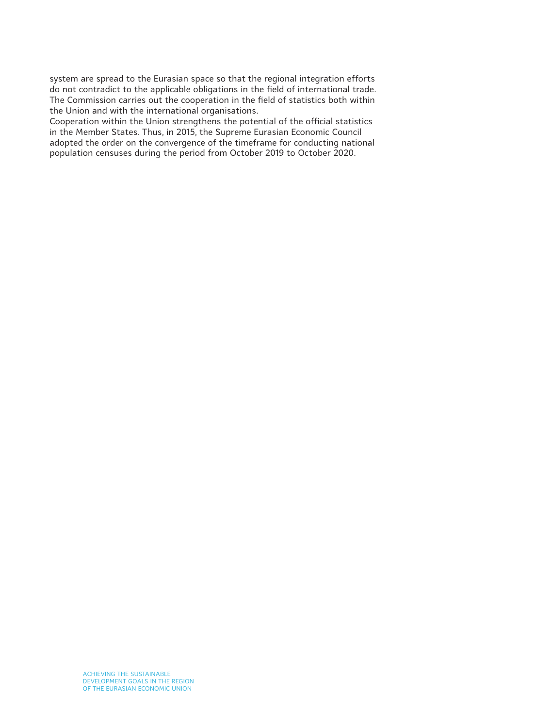system are spread to the Eurasian space so that the regional integration efforts do not contradict to the applicable obligations in the field of international trade. The Commission carries out the cooperation in the field of statistics both within the Union and with the international organisations.

Cooperation within the Union strengthens the potential of the official statistics in the Member States. Thus, in 2015, the Supreme Eurasian Economic Council adopted the order on the convergence of the timeframe for conducting national population censuses during the period from October 2019 to October 2020.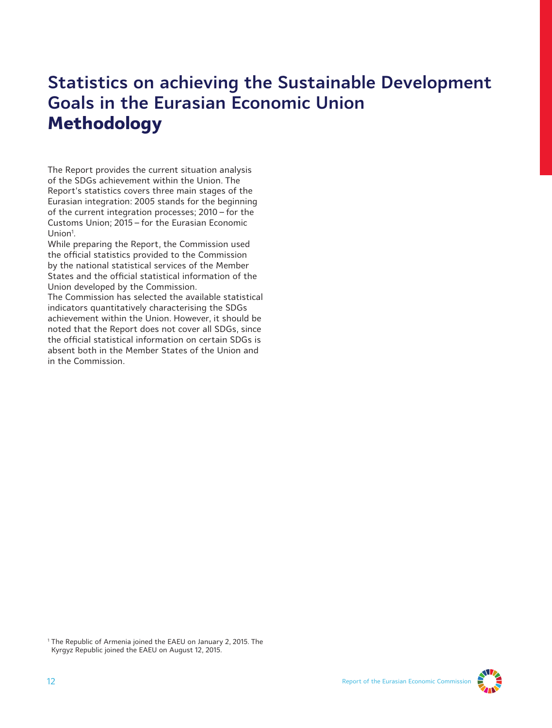# **Statistics on achieving the Sustainable Development Goals in the Eurasian Economic Union Methodology**

The Report provides the current situation analysis of the SDGs achievement within the Union. The Report's statistics covers three main stages of the Eurasian integration: 2005 stands for the beginning of the current integration processes; 2010 – for the Customs Union; 2015 – for the Eurasian Economic Union<sup>1</sup>.

While preparing the Report, the Commission used the official statistics provided to the Commission by the national statistical services of the Member States and the official statistical information of the Union developed by the Commission.

The Commission has selected the available statistical indicators quantitatively characterising the SDGs achievement within the Union. However, it should be noted that the Report does not cover all SDGs, since the official statistical information on certain SDGs is absent both in the Member States of the Union and in the Commission.

<sup>1</sup> The Republic of Armenia joined the EAEU on January 2, 2015. The Kyrgyz Republic joined the EAEU on August 12, 2015.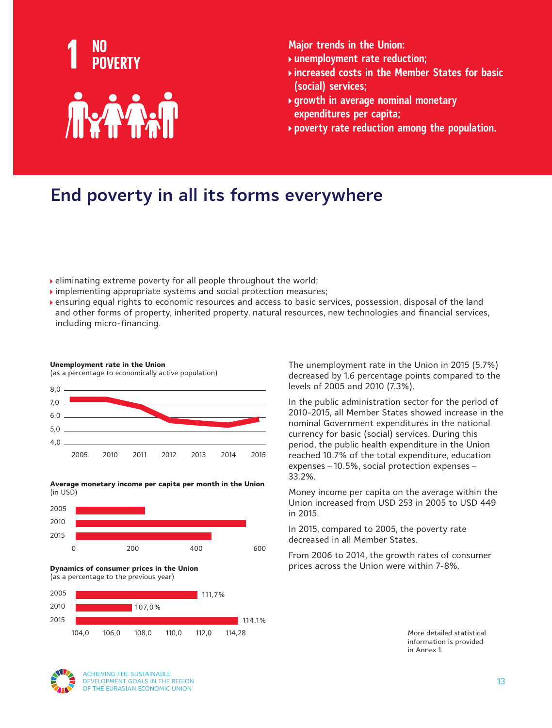

- **unemployment rate reduction;**
- **increased costs in the Member States for basic (social) services;**
- **growth in average nominal monetary expenditures per capita;**
- **poverty rate reduction among the population.**

# **End poverty in all its forms everywhere**

- eliminating extreme poverty for all people throughout the world;
- implementing appropriate systems and social protection measures;
- ensuring equal rights to economic resources and access to basic services, possession, disposal of the land and other forms of property, inherited property, natural resources, new technologies and financial services, including micro-financing.





**Average monetary income per capita per month in the Union** (in USD)



**Dynamics of consumer prices in the Union**  (as a percentage to the previous year)



The unemployment rate in the Union in 2015 (5.7%) decreased by 1.6 percentage points compared to the levels of 2005 and 2010 (7.3%).

In the public administration sector for the period of 2010-2015, all Member States showed increase in the nominal Government expenditures in the national currency for basic (social) services. During this period, the public health expenditure in the Union reached 10.7% of the total expenditure, education expenses – 10.5%, social protection expenses – 33.2%.

Money income per capita on the average within the Union increased from USD 253 in 2005 to USD 449 in 2015.

In 2015, compared to 2005, the poverty rate decreased in all Member States.

From 2006 to 2014, the growth rates of consumer prices across the Union were within 7-8%.

> More detailed statistical information is provided in Annex 1.

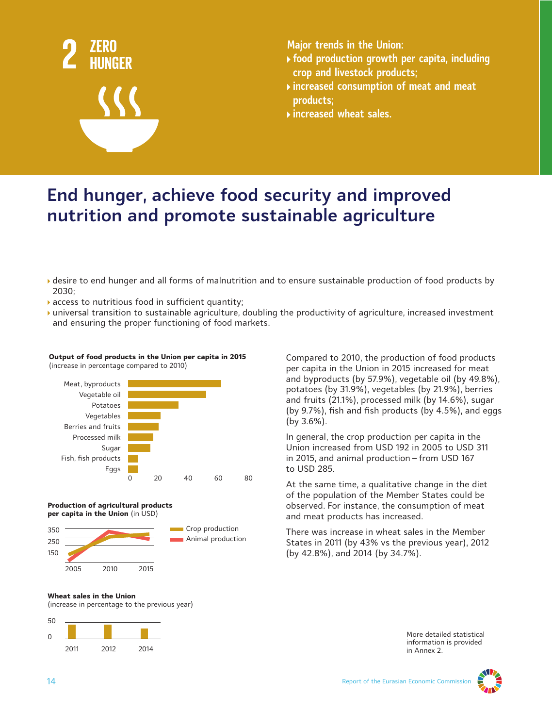

- **food production growth per capita, including crop and livestock products;**
- **increased consumption of meat and meat products;**
- **increased wheat sales.**

# **End hunger, achieve food security and improved nutrition and promote sustainable agriculture**

- desire to end hunger and all forms of malnutrition and to ensure sustainable production of food products by 2030;
- access to nutritious food in sufficient quantity;
- universal transition to sustainable agriculture, doubling the productivity of agriculture, increased investment and ensuring the proper functioning of food markets.

#### **Output of food products in the Union per capita in 2015**  (increase in percentage compared to 2010)



#### **Production of agricultural products per capita in the Union** (in USD)



Compared to 2010, the production of food products per capita in the Union in 2015 increased for meat and byproducts (by 57.9%), vegetable oil (by 49.8%), potatoes (by 31.9%), vegetables (by 21.9%), berries and fruits (21.1%), processed milk (by 14.6%), sugar (by 9.7%), fish and fish products (by 4.5%), and eggs (by 3.6%).

In general, the crop production per capita in the Union increased from USD 192 in 2005 to USD 311 in 2015, and animal production – from USD 167 to USD 285.

At the same time, a qualitative change in the diet of the population of the Member States could be observed. For instance, the consumption of meat and meat products has increased.

There was increase in wheat sales in the Member States in 2011 (by 43% vs the previous year), 2012 (by 42.8%), and 2014 (by 34.7%).

#### **Wheat sales in the Union**

(increase in percentage to the previous year)



More detailed statistical information is provided in Annex 2.

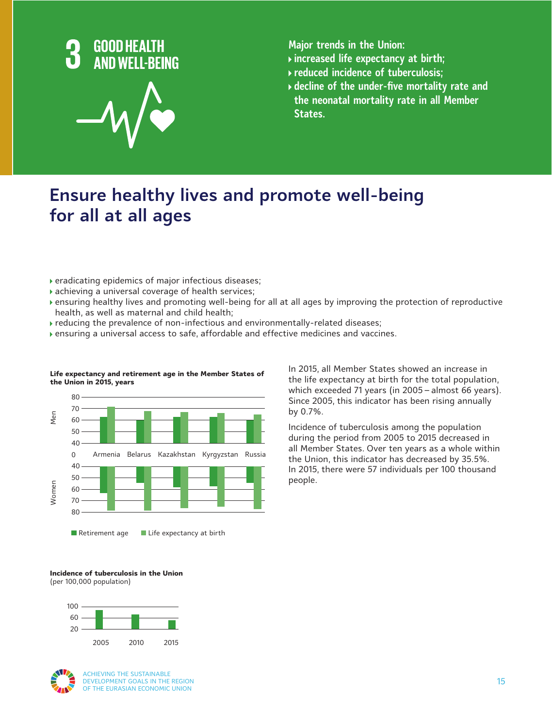

- **increased life expectancy at birth;**
- **reduced incidence of tuberculosis;**
- **decline of the under-five mortality rate and the neonatal mortality rate in all Member States.**

# **Ensure healthy lives and promote well-being for all at all ages**

- eradicating epidemics of major infectious diseases;
- achieving a universal coverage of health services;
- ensuring healthy lives and promoting well-being for all at all ages by improving the protection of reproductive health, as well as maternal and child health;
- reducing the prevalence of non-infectious and environmentally-related diseases;
- ensuring a universal access to safe, affordable and effective medicines and vaccines.



#### **Life expectancy and retirement age in the Member States of the Union in 2015, years**

In 2015, all Member States showed an increase in the life expectancy at birth for the total population, which exceeded 71 years (in 2005 – almost 66 years). Since 2005, this indicator has been rising annually by 0.7%.

Incidence of tuberculosis among the population during the period from 2005 to 2015 decreased in all Member States. Over ten years as a whole within the Union, this indicator has decreased by 35.5%. In 2015, there were 57 individuals per 100 thousand people.

### **Incidence of tuberculosis in the Union**

(per 100,000 population)



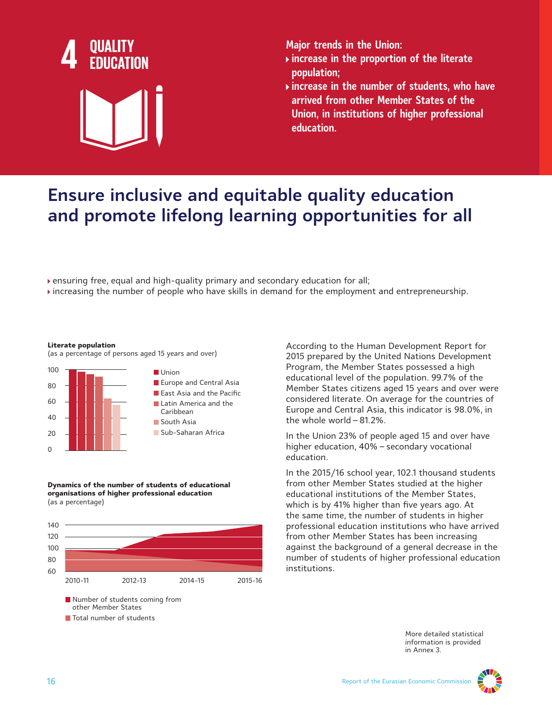

- **increase in the proportion of the literate population;**
- **increase in the number of students, who have arrived from other Member States of the Union, in institutions of higher professional education.**

# **Ensure inclusive and equitable quality education and promote lifelong learning opportunities for all**

ensuring free, equal and high-quality primary and secondary education for all;

increasing the number of people who have skills in demand for the employment and entrepreneurship.

#### **Literate population**

(as a percentage of persons aged 15 years and over)



**Dynamics of the number of students of educational organisations of higher professional education** (as a percentage)

other Member States **Total number of students** 



According to the Human Development Report for 2015 prepared by the United Nations Development Program, the Member States possessed a high educational level of the population. 99.7% of the Member States citizens aged 15 years and over were considered literate. On average for the countries of Europe and Central Asia, this indicator is 98.0%, in the whole world – 81.2%.

In the Union 23% of people aged 15 and over have higher education, 40% – secondary vocational education.

In the 2015/16 school year, 102.1 thousand students from other Member States studied at the higher educational institutions of the Member States, which is by 41% higher than five years ago. At the same time, the number of students in higher professional education institutions who have arrived from other Member States has been increasing against the background of a general decrease in the number of students of higher professional education institutions.

> More detailed statistical information is provided in Annex 3.

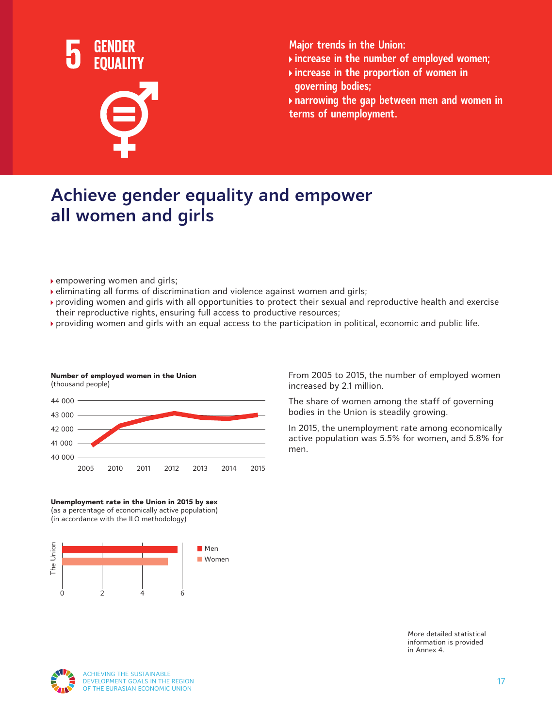

- **increase in the number of employed women;**
- **increase in the proportion of women in governing bodies;**

**narrowing the gap between men and women in terms of unemployment.**

# **Achieve gender equality and empower all women and girls**

▶ empowering women and girls;

**Number of employed women in the Union**

(thousand people)

- eliminating all forms of discrimination and violence against women and girls;
- providing women and girls with all opportunities to protect their sexual and reproductive health and exercise their reproductive rights, ensuring full access to productive resources;
- providing women and girls with an equal access to the participation in political, economic and public life.



**Unemployment rate in the Union in 2015 by sex** (as a percentage of economically active population) (in accordance with the ILO methodology)



From 2005 to 2015, the number of employed women increased by 2.1 million.

The share of women among the staff of governing bodies in the Union is steadily growing.

In 2015, the unemployment rate among economically active population was 5.5% for women, and 5.8% for men.

> More detailed statistical information is provided in Annex 4.



ACHIEVING THE SUSTAINABLE DEVELOPMENT GOALS IN THE REGION OF THE EURASIAN ECONOMIC UNION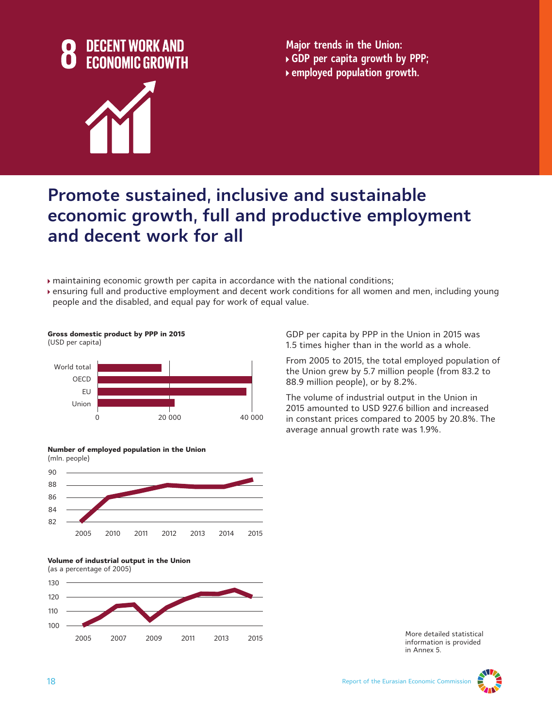

**Major trends in the Union: GDP per capita growth by PPP; employed population growth.**



# **Promote sustained, inclusive and sustainable economic growth, full and productive employment and decent work for all**

maintaining economic growth per capita in accordance with the national conditions;

ensuring full and productive employment and decent work conditions for all women and men, including young people and the disabled, and equal pay for work of equal value.





GDP per capita by PPP in the Union in 2015 was 1.5 times higher than in the world as a whole.

From 2005 to 2015, the total employed population of the Union grew by 5.7 million people (from 83.2 to 88.9 million people), or by 8.2%.

The volume of industrial output in the Union in 2015 amounted to USD 927.6 billion and increased in constant prices compared to 2005 by 20.8%. The average annual growth rate was 1.9%.







More detailed statistical information is provided in Annex 5.

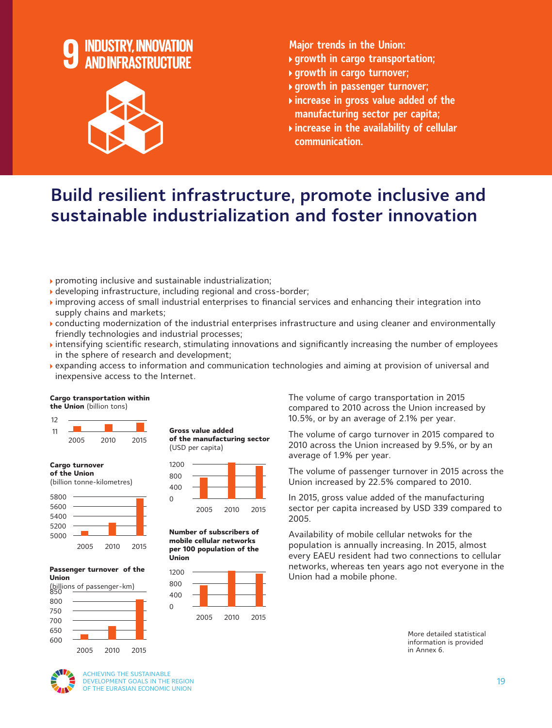

- **growth in cargo transportation;**
- **growth in cargo turnover;**
- **growth in passenger turnover;**
- **increase in gross value added of the manufacturing sector per capita;**
- **increase in the availability of cellular communication.**

# **Build resilient infrastructure, promote inclusive and sustainable industrialization and foster innovation**

- promoting inclusive and sustainable industrialization;
- developing infrastructure, including regional and cross-border;
- improving access of small industrial enterprises to financial services and enhancing their integration into supply chains and markets;
- conducting modernization of the industrial enterprises infrastructure and using cleaner and environmentally friendly technologies and industrial processes;
- intensifying scientific research, stimulating innovations and significantly increasing the number of employees in the sphere of research and development;
- expanding access to information and communication technologies and aiming at provision of universal and inexpensive access to the Internet.

#### **Cargo transportation within the Union** (billion tons)



**Cargo turnover of the Union** 





2005 2010 2015

#### **Passenger turnover of the Union**





2005 2010 2015

**Number of subscribers of mobile cellular networks per 100 population of the Union**



The volume of cargo transportation in 2015 compared to 2010 across the Union increased by 10.5%, or by an average of 2.1% per year.

The volume of cargo turnover in 2015 compared to 2010 across the Union increased by 9.5%, or by an average of 1.9% per year.

The volume of passenger turnover in 2015 across the Union increased by 22.5% compared to 2010.

In 2015, gross value added of the manufacturing sector per capita increased by USD 339 compared to 2005.

Availability of mobile cellular netwoks for the population is annually increasing. In 2015, almost every EAEU resident had two connections to cellular networks, whereas ten years ago not everyone in the Union had a mobile phone.

> More detailed statistical information is provided in Annex 6.



ACHIEVING THE SUSTAINABLE DEVELOPMENT GOALS IN THE REGION OF THE EURASIAN ECONOMIC UNION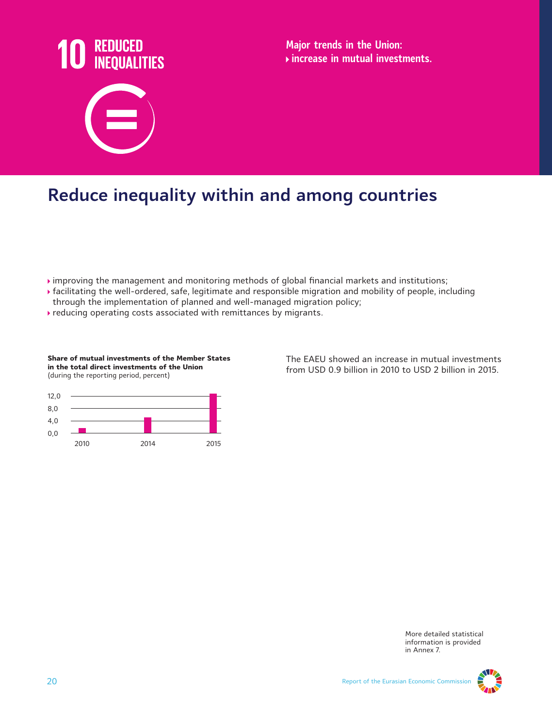

**Major trends in the Union: increase in mutual investments.**

# **Reduce inequality within and among countries**

- $\blacktriangleright$  improving the management and monitoring methods of global financial markets and institutions;
- facilitating the well-ordered, safe, legitimate and responsible migration and mobility of people, including through the implementation of planned and well-managed migration policy;
- reducing operating costs associated with remittances by migrants.



**Share of mutual investments of the Member States** 



The EAEU showed an increase in mutual investments from USD 0.9 billion in 2010 to USD 2 billion in 2015.

> More detailed statistical information is provided in Annex 7.

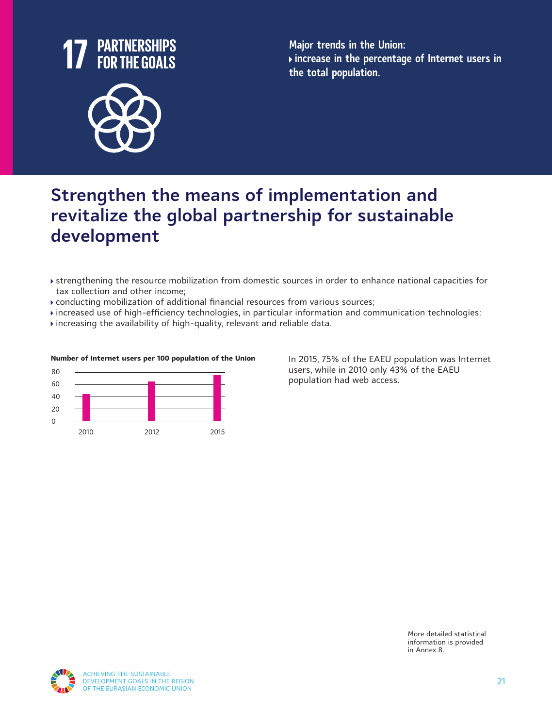

**Major trends in the Union: increase in the percentage of Internet users in the total population.**

# **Strengthen the means of implementation and revitalize the global partnership for sustainable development**

- strengthening the resource mobilization from domestic sources in order to enhance national capacities for tax collection and other income;
- conducting mobilization of additional financial resources from various sources;
- increased use of high-efficiency technologies, in particular information and communication technologies;
- $\rightarrow$  increasing the availability of high-quality, relevant and reliable data.



#### **Number of Internet users per 100 population of the Union**

In 2015, 75% of the EAEU population was Internet users, while in 2010 only 43% of the EAEU population had web access.

> More detailed statistical information is provided in Annex 8.

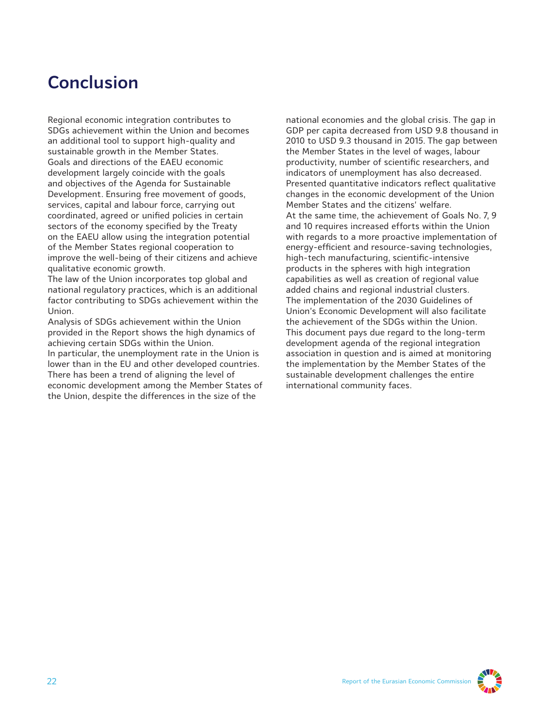## **Conclusion**

Regional economic integration contributes to SDGs achievement within the Union and becomes an additional tool to support high-quality and sustainable growth in the Member States. Goals and directions of the EAEU economic development largely coincide with the goals and objectives of the Agenda for Sustainable Development. Ensuring free movement of goods, services, capital and labour force, carrying out coordinated, agreed or unified policies in certain sectors of the economy specified by the Treaty on the EAEU allow using the integration potential of the Member States regional cooperation to improve the well-being of their citizens and achieve qualitative economic growth.

The law of the Union incorporates top global and national regulatory practices, which is an additional factor contributing to SDGs achievement within the Union.

Analysis of SDGs achievement within the Union provided in the Report shows the high dynamics of achieving certain SDGs within the Union.

In particular, the unemployment rate in the Union is lower than in the EU and other developed countries. There has been a trend of aligning the level of economic development among the Member States of the Union, despite the differences in the size of the

national economies and the global crisis. The gap in GDP per capita decreased from USD 9.8 thousand in 2010 to USD 9.3 thousand in 2015. The gap between the Member States in the level of wages, labour productivity, number of scientific researchers, and indicators of unemployment has also decreased. Presented quantitative indicators reflect qualitative changes in the economic development of the Union Member States and the citizens' welfare. At the same time, the achievement of Goals No. 7, 9 and 10 requires increased efforts within the Union with regards to a more proactive implementation of energy-efficient and resource-saving technologies, high-tech manufacturing, scientific-intensive products in the spheres with high integration capabilities as well as creation of regional value added chains and regional industrial clusters. The implementation of the 2030 Guidelines of Union's Economic Development will also facilitate the achievement of the SDGs within the Union. This document pays due regard to the long-term development agenda of the regional integration association in question and is aimed at monitoring the implementation by the Member States of the sustainable development challenges the entire international community faces.

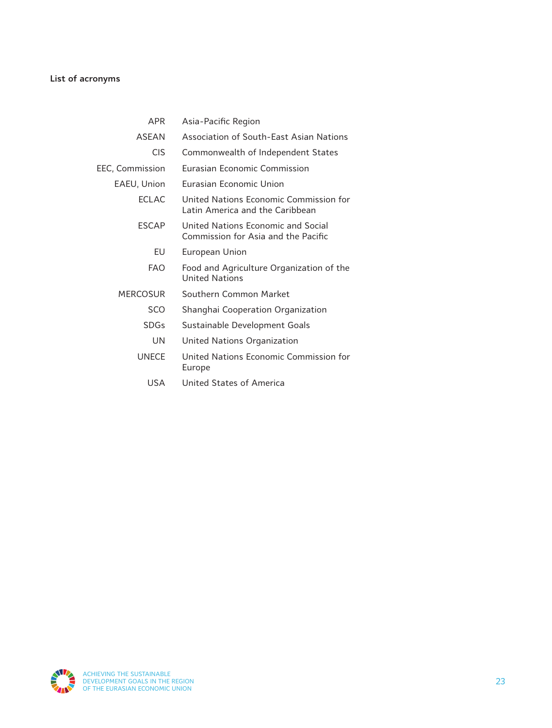### **List of acronyms**

| <b>APR</b>      | Asia-Pacific Region                                                       |
|-----------------|---------------------------------------------------------------------------|
| <b>ASEAN</b>    | Association of South-East Asian Nations                                   |
| <b>CIS</b>      | Commonwealth of Independent States                                        |
| EEC, Commission | <b>Furasian Fconomic Commission</b>                                       |
| EAEU, Union     | <b>Furasian Fconomic Union</b>                                            |
| <b>FCI AC</b>   | United Nations Fconomic Commission for<br>Latin America and the Caribbean |
| <b>FSCAP</b>    | United Nations Fconomic and Social<br>Commission for Asia and the Pacific |
| EU              | European Union                                                            |
| <b>FAO</b>      | Food and Agriculture Organization of the<br><b>United Nations</b>         |
| <b>MERCOSUR</b> | Southern Common Market                                                    |
| SCO             | Shanghai Cooperation Organization                                         |
| <b>SDGs</b>     | Sustainable Development Goals                                             |
| UΝ              | United Nations Organization                                               |
| <b>UNECE</b>    | United Nations Economic Commission for<br>Europe                          |
| USA             | <b>United States of America</b>                                           |

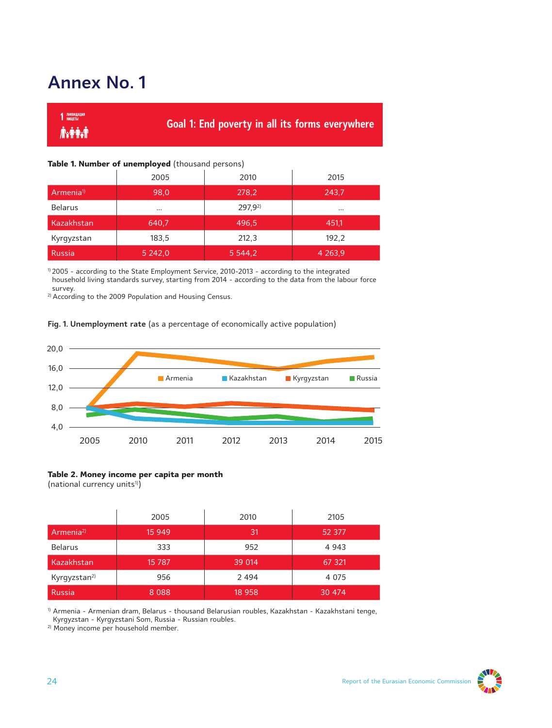# **Annex No. 1**

| 1 ликвидация |                                                        |
|--------------|--------------------------------------------------------|
|              | <b>Goal 1: End poverty in all its forms everywhere</b> |

#### **Table 1. Number of unemployed** (thousand persons)

|                      | 2005      | 2010        | 2015        |
|----------------------|-----------|-------------|-------------|
| Armenia <sup>1</sup> | 98,0      | 278.2       | 243,7       |
| <b>Belarus</b>       | $\cdots$  | $297.9^{2}$ | $\cdots$    |
| Kazakhstan           | 640,7     | 496,5       | 451,1       |
| Kyrgyzstan           | 183,5     | 212,3       | 192,2       |
| <b>Russia</b>        | 5 2 4 2,0 | 5 5 4 4 , 2 | 4 2 6 3 , 9 |

1) 2005 - according to the State Employment Service, 2010-2013 - according to the integrated household living standards survey, starting from 2014 - according to the data from the labour force survey.

<sup>2)</sup> According to the 2009 Population and Housing Census.

#### **Fig. 1. Unemployment rate** (as a percentage of economically active population)



#### **Table 2. Money income per capita per month**

(national currency units<sup>1)</sup>)

|                          | 2005    | 2010    | 2105    |
|--------------------------|---------|---------|---------|
| Armenia <sup>2)</sup>    | 15 949  | 31      | 52 377  |
| <b>Belarus</b>           | 333     | 952     | 4 9 4 3 |
| Kazakhstan               | 15 7 87 | 39 014  | 67 321  |
| Kyrgyzstan <sup>2)</sup> | 956     | 2 4 9 4 | 4 0 7 5 |
| <b>Russia</b>            | 8 0 8 8 | 18 9 58 | 30 474  |

1) Armenia - Armenian dram, Belarus - thousand Belarusian roubles, Kazakhstan - Kazakhstani tenge, Kyrgyzstan - Kyrgyzstani Som, Russia - Russian roubles.

2) Money income per household member.

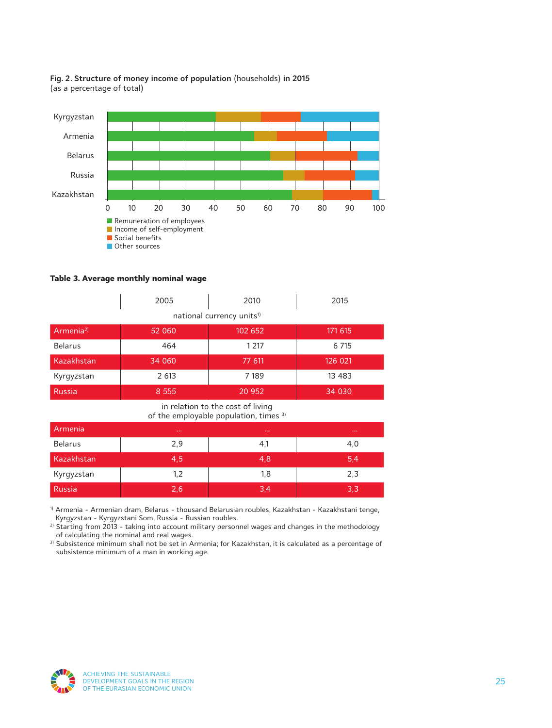



**Table 3. Average monthly nominal wage**

|                       | 2005    | 2010                                  | 2015     |
|-----------------------|---------|---------------------------------------|----------|
|                       |         | national currency units <sup>1)</sup> |          |
| Armenia <sup>2)</sup> | 52 060  | 102 652                               | 171 615  |
| <b>Belarus</b>        | 464     | 1 2 1 7                               | 6 7 15   |
| Kazakhstan            | 34 060  | 77 611                                | 126 021  |
| Kyrgyzstan            | 2 613   | 7 189                                 | 13 4 8 3 |
| Russia                | 8 5 5 5 | 20 952                                | 34 030   |

in relation to the cost of living of the employable population, times <sup>3)</sup>

| Armenia        | $\sim$ $\sim$ | $\sim 0.00$ | 10,000 |
|----------------|---------------|-------------|--------|
| <b>Belarus</b> | 2,9           | 4,1         | 4,0    |
| Kazakhstan     | 4,5           | 4,8         | 5,4    |
| Kyrgyzstan     | 1,2           | 1,8         | 2,3    |
| Russia         | 2,6           | 3,4         | 3,3    |

1) Armenia - Armenian dram, Belarus - thousand Belarusian roubles, Kazakhstan - Kazakhstani tenge, Kyrgyzstan - Kyrgyzstani Som, Russia - Russian roubles.

<sup>2)</sup> Starting from 2013 - taking into account military personnel wages and changes in the methodology of calculating the nominal and real wages.

3) Subsistence minimum shall not be set in Armenia; for Kazakhstan, it is calculated as a percentage of subsistence minimum of a man in working age.

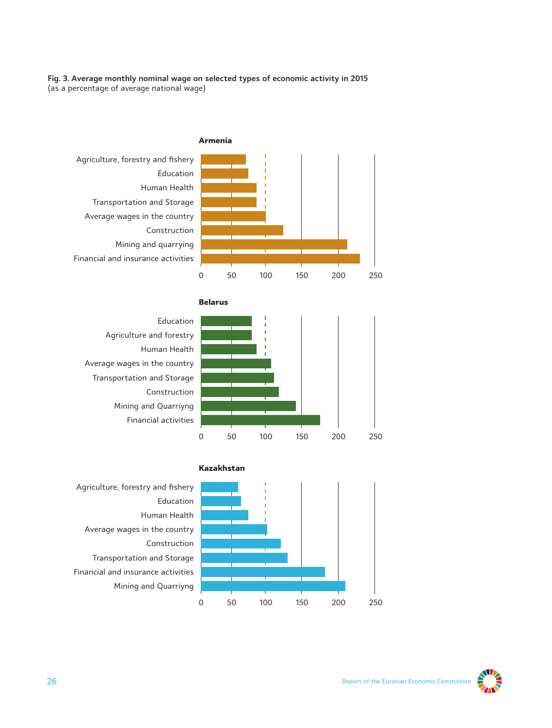#### **Fig. 3. Average monthly nominal wage on selected types of economic activity in 2015** (as a percentage of average national wage)







Average wages in the country Transportation and Storage



0 50 100 150 200 250

Agriculture, forestry and fishery Education Human Health Average wages in the country Construction Transportation and Storage Financial and insurance activities Mining and Quarriyng

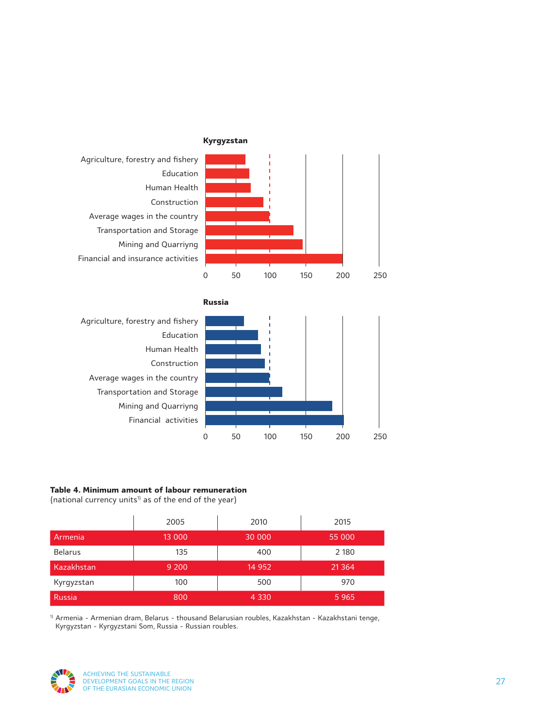





**Russia**



### **Table 4. Minimum amount of labour remuneration**

(national currency units<sup>1)</sup> as of the end of the year)

|                | 2005    | 2010    | 2015     |
|----------------|---------|---------|----------|
| Armenia        | 13 000  | 30 000  | 55 000   |
| <b>Belarus</b> | 135     | 400     | 2 1 8 0  |
| Kazakhstan     | 9 2 0 0 | 14 9 52 | 21 3 6 4 |
| Kyrgyzstan     | 100     | 500     | 970      |
| <b>Russia</b>  | 800     | 4 3 3 0 | 5965     |

 $1)$  Armenia - Armenian dram, Belarus - thousand Belarusian roubles, Kazakhstan - Kazakhstani tenge, Kyrgyzstan - Kyrgyzstani Som, Russia - Russian roubles.

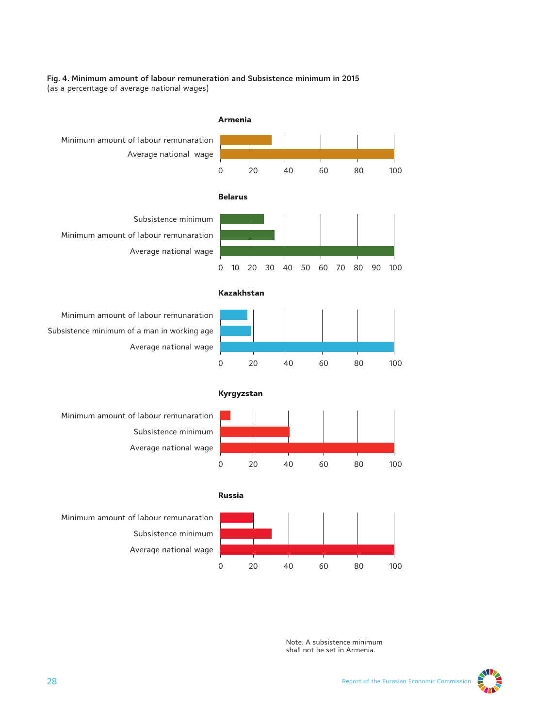#### **Fig. 4. Minimum amount of labour remuneration and Subsistence minimum in 2015** (as a percentage of average national wages)



Note. A subsistence minimum shall not be set in Armenia.

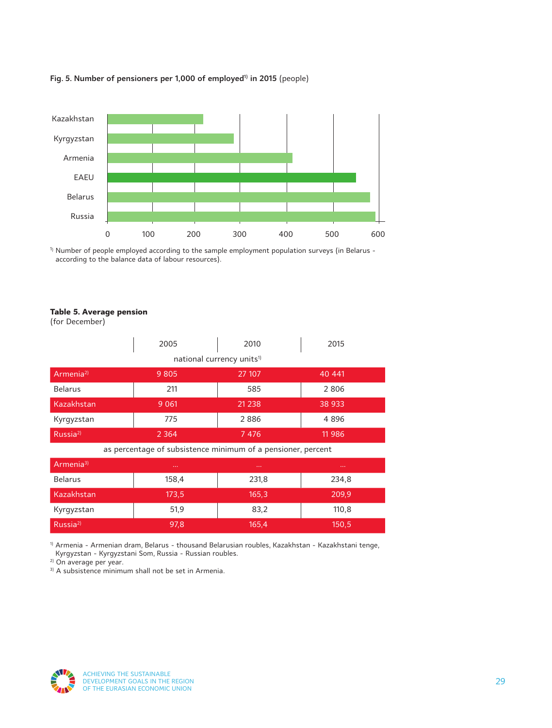

### Fig. 5. Number of pensioners per 1,000 of employed<sup>1)</sup> in 2015 (people)

<sup>1)</sup> Number of people employed according to the sample employment population surveys (in Belarus according to the balance data of labour resources).

#### **Table 5. Average pension**

(for December)

|                       | 2005                                                         | 2010                                  | 2015   |
|-----------------------|--------------------------------------------------------------|---------------------------------------|--------|
|                       |                                                              | national currency units <sup>1)</sup> |        |
| Armenia <sup>2)</sup> | 9 8 0 5                                                      | 27 107                                | 40 441 |
| <b>Belarus</b>        | 211                                                          | 585                                   | 2806   |
| Kazakhstan            | 9 0 61                                                       | 21 2 38                               | 38 933 |
| Kyrgyzstan            | 775                                                          | 2886                                  | 4896   |
| Russia <sup>2)</sup>  | 2 3 6 4                                                      | 7 4 7 6                               | 11 986 |
|                       | as percentage of subsistence minimum of a pensioner, percent |                                       |        |
| Armenia <sup>3)</sup> |                                                              | $\sim 100$                            |        |
| <b>Belarus</b>        | 158,4                                                        | 231,8                                 | 234,8  |
| Kazakhstan            | 173,5                                                        | 165,3                                 | 209,9  |
| Kyrgyzstan            | 51,9                                                         | 83,2                                  | 110,8  |
| Russia <sup>2)</sup>  | 97,8                                                         | 165,4                                 | 150,5  |

<sup>1)</sup> Armenia - Armenian dram, Belarus - thousand Belarusian roubles, Kazakhstan - Kazakhstani tenge, Kyrgyzstan - Kyrgyzstani Som, Russia - Russian roubles.

<sup>2)</sup> On average per year.

<sup>3)</sup> A subsistence minimum shall not be set in Armenia.

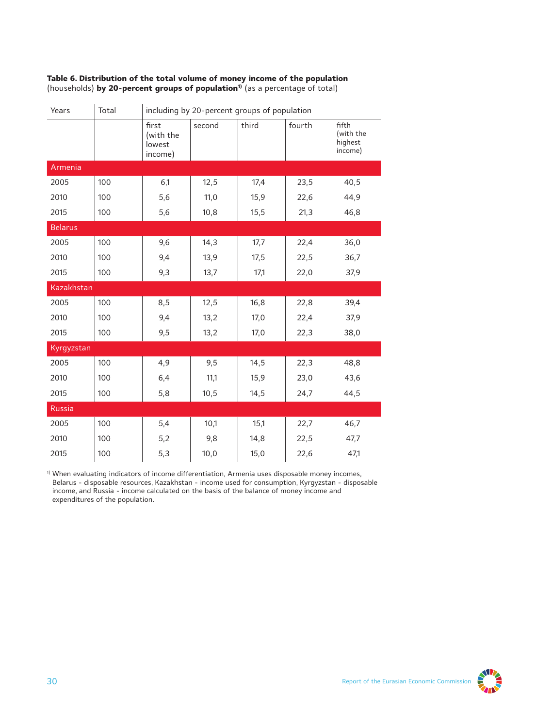| Years          | Total | including by 20-percent groups of population |        |       |        |                                          |
|----------------|-------|----------------------------------------------|--------|-------|--------|------------------------------------------|
|                |       | first<br>(with the<br>lowest<br>income)      | second | third | fourth | fifth<br>(with the<br>highest<br>income) |
| Armenia        |       |                                              |        |       |        |                                          |
| 2005           | 100   | 6,1                                          | 12,5   | 17,4  | 23,5   | 40,5                                     |
| 2010           | 100   | 5,6                                          | 11,0   | 15,9  | 22,6   | 44,9                                     |
| 2015           | 100   | 5,6                                          | 10,8   | 15, 5 | 21,3   | 46,8                                     |
| <b>Belarus</b> |       |                                              |        |       |        |                                          |
| 2005           | 100   | 9,6                                          | 14,3   | 17,7  | 22,4   | 36,0                                     |
| 2010           | 100   | 9,4                                          | 13,9   | 17,5  | 22,5   | 36,7                                     |
| 2015           | 100   | 9,3                                          | 13,7   | 17,1  | 22,0   | 37,9                                     |
| Kazakhstan     |       |                                              |        |       |        |                                          |
| 2005           | 100   | 8,5                                          | 12,5   | 16,8  | 22,8   | 39,4                                     |
| 2010           | 100   | 9,4                                          | 13,2   | 17,0  | 22,4   | 37,9                                     |
| 2015           | 100   | 9,5                                          | 13,2   | 17,0  | 22,3   | 38,0                                     |
| Kyrgyzstan     |       |                                              |        |       |        |                                          |
| 2005           | 100   | 4,9                                          | 9,5    | 14,5  | 22,3   | 48,8                                     |
| 2010           | 100   | 6,4                                          | 11,1   | 15,9  | 23,0   | 43,6                                     |
| 2015           | 100   | 5,8                                          | 10,5   | 14,5  | 24,7   | 44,5                                     |
| <b>Russia</b>  |       |                                              |        |       |        |                                          |
| 2005           | 100   | 5,4                                          | 10,1   | 15,1  | 22,7   | 46,7                                     |
| 2010           | 100   | 5,2                                          | 9,8    | 14,8  | 22,5   | 47,7                                     |
| 2015           | 100   | 5,3                                          | 10,0   | 15,0  | 22,6   | 47,1                                     |

**Table 6. Distribution of the total volume of money income of the population**  (households) **by 20-percent groups of population1)** (as a percentage of total)

1) When evaluating indicators of income differentiation, Armenia uses disposable money incomes, Belarus - disposable resources, Kazakhstan - income used for consumption, Kyrgyzstan - disposable income, and Russia - income calculated on the basis of the balance of money income and expenditures of the population.

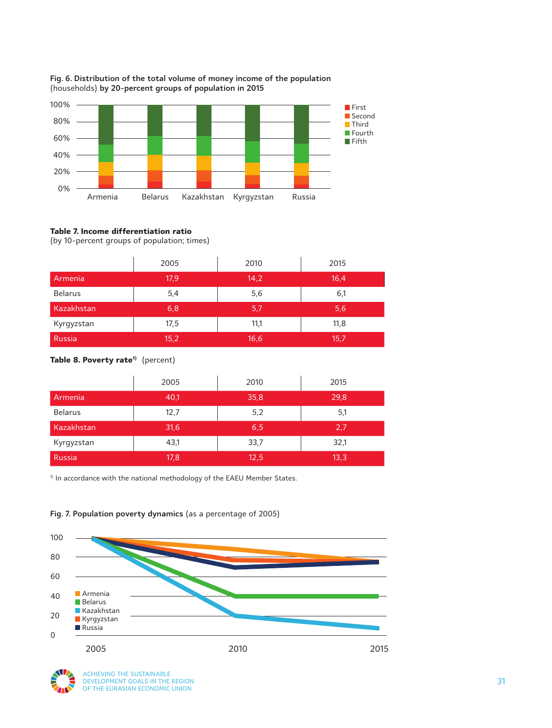

#### **Fig. 6. Distribution of the total volume of money income of the population** (households) **by 20-percent groups of population in 2015**

#### **Table 7. Income differentiation ratio**

(by 10-percent groups of population; times)

|                | 2005 | 2010 | 2015 |
|----------------|------|------|------|
| Armenia        | 17,9 | 14,2 | 16,4 |
| <b>Belarus</b> | 5,4  | 5,6  | 6,1  |
| Kazakhstan     | 6,8  | 5,7  | 5,6  |
| Kyrgyzstan     | 17,5 | 11,1 | 11,8 |
| Russia         | 15,2 | 16,6 | 15,7 |

### Table 8. Poverty rate<sup>1)</sup> (percent)

|                | 2005 | 2010 | 2015 |
|----------------|------|------|------|
| Armenia        | 40,1 | 35,8 | 29,8 |
| <b>Belarus</b> | 12,7 | 5,2  | 5,1  |
| Kazakhstan     | 31,6 | 6,5  | 2,7  |
| Kyrgyzstan     | 43,1 | 33,7 | 32,1 |
| <b>Russia</b>  | 17,8 | 12,5 | 13,3 |

<sup>1)</sup> In accordance with the national methodology of the EAEU Member States.



### **Fig. 7. Population poverty dynamics** (as a percentage of 2005)

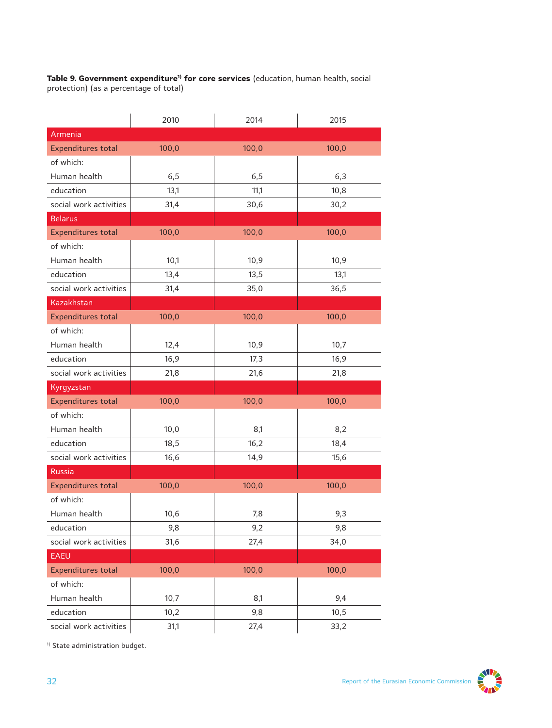Table 9. Government expenditure<sup>1)</sup> for core services (education, human health, social protection) (as a percentage of total)

|                           | 2010  | 2014  | 2015  |
|---------------------------|-------|-------|-------|
| Armenia                   |       |       |       |
| <b>Expenditures total</b> | 100,0 | 100,0 | 100,0 |
| of which:                 |       |       |       |
| Human health              | 6, 5  | 6, 5  | 6,3   |
| education                 | 13,1  | 11,1  | 10,8  |
| social work activities    | 31,4  | 30,6  | 30,2  |
| <b>Belarus</b>            |       |       |       |
| <b>Expenditures total</b> | 100,0 | 100,0 | 100,0 |
| of which:                 |       |       |       |
| Human health              | 10,1  | 10,9  | 10,9  |
| education                 | 13,4  | 13,5  | 13,1  |
| social work activities    | 31,4  | 35,0  | 36,5  |
| Kazakhstan                |       |       |       |
| <b>Expenditures total</b> | 100,0 | 100,0 | 100,0 |
| of which:                 |       |       |       |
| Human health              | 12,4  | 10,9  | 10,7  |
| education                 | 16,9  | 17,3  | 16,9  |
| social work activities    | 21,8  | 21,6  | 21,8  |
| Kyrgyzstan                |       |       |       |
| <b>Expenditures total</b> | 100,0 | 100,0 | 100,0 |
| of which:                 |       |       |       |
| Human health              | 10,0  | 8,1   | 8,2   |
| education                 | 18,5  | 16,2  | 18,4  |
| social work activities    | 16, 6 | 14,9  | 15,6  |
| <b>Russia</b>             |       |       |       |
| <b>Expenditures total</b> | 100,0 | 100,0 | 100,0 |
| of which:                 |       |       |       |
| Human health              | 10,6  | 7,8   | 9,3   |
| education                 | 9,8   | 9,2   | 9,8   |
| social work activities    | 31,6  | 27,4  | 34,0  |
| <b>EAEU</b>               |       |       |       |
| <b>Expenditures total</b> | 100,0 | 100,0 | 100,0 |
| of which:                 |       |       |       |
| Human health              | 10,7  | 8,1   | 9,4   |
| education                 | 10,2  | 9,8   | 10,5  |
| social work activities    | 31,1  | 27,4  | 33,2  |

<sup>1)</sup> State administration budget.

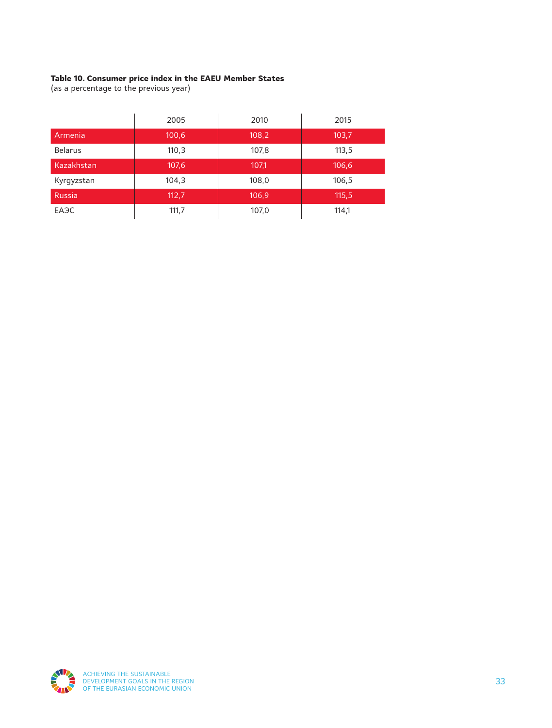### **Table 10. Consumer price index in the EAEU Member States**

(as a percentage to the previous year)

|                   | 2005  | 2010  | 2015  |
|-------------------|-------|-------|-------|
| Armenia           | 100,6 | 108,2 | 103,7 |
| <b>Belarus</b>    | 110,3 | 107,8 | 113,5 |
| Kazakhstan        | 107,6 | 107,1 | 106,6 |
| Kyrgyzstan        | 104,3 | 108,0 | 106,5 |
| Russia            | 112.7 | 106,9 | 115,5 |
| EA <sub>3</sub> C | 111,7 | 107,0 | 114,1 |

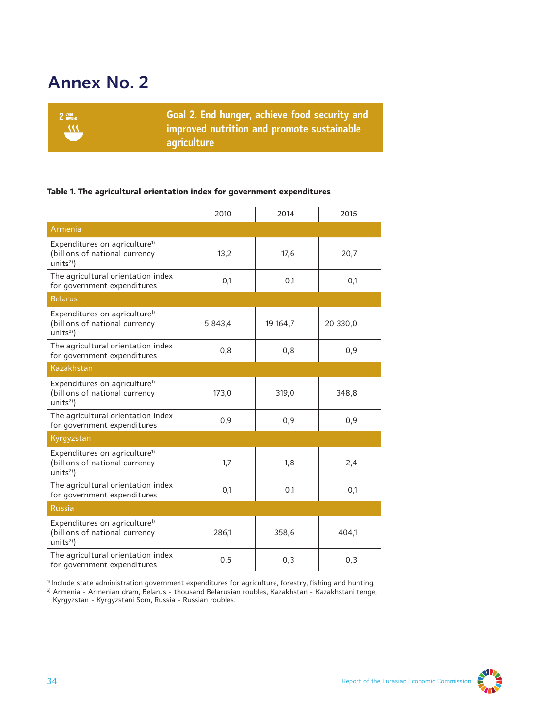# **Annex No. 2**



#### **Table 1. The agricultural orientation index for government expenditures**

|                                                                                                      | 2010    | 2014     | 2015     |
|------------------------------------------------------------------------------------------------------|---------|----------|----------|
| Armenia                                                                                              |         |          |          |
| Expenditures on agriculture <sup>1)</sup><br>(billions of national currency<br>units <sup>2</sup> )  | 13,2    | 17,6     | 20,7     |
| The agricultural orientation index<br>for government expenditures                                    | 0,1     | 0,1      | 0,1      |
| <b>Belarus</b>                                                                                       |         |          |          |
| Expenditures on agriculture <sup>1)</sup><br>(billions of national currency<br>units <sup>2</sup> )  | 5 843,4 | 19 164,7 | 20 330,0 |
| The agricultural orientation index<br>for government expenditures                                    | 0,8     | 0,8      | 0,9      |
| Kazakhstan                                                                                           |         |          |          |
| Expenditures on agriculture <sup>1)</sup><br>(billions of national currency<br>units <sup>2</sup> )  | 173,0   | 319,0    | 348,8    |
| The agricultural orientation index<br>for government expenditures                                    | 0,9     | 0,9      | 0,9      |
| Kyrgyzstan                                                                                           |         |          |          |
| Expenditures on agriculture <sup>1)</sup><br>(billions of national currency<br>units <sup>2</sup> )  | 1,7     | 1,8      | 2,4      |
| The agricultural orientation index<br>for government expenditures                                    | 0,1     | 0,1      | 0,1      |
| <b>Russia</b>                                                                                        |         |          |          |
| Expenditures on agriculture <sup>1)</sup><br>(billions of national currency<br>units <sup>2)</sup> ) | 286,1   | 358,6    | 404,1    |
| The agricultural orientation index<br>for government expenditures                                    | 0,5     | 0,3      | 0,3      |

1) Include state administration government expenditures for agriculture, forestry, fishing and hunting.

<sup>2)</sup> Armenia - Armenian dram, Belarus - thousand Belarusian roubles, Kazakhstan - Kazakhstani tenge, Kyrgyzstan - Kyrgyzstani Som, Russia - Russian roubles.

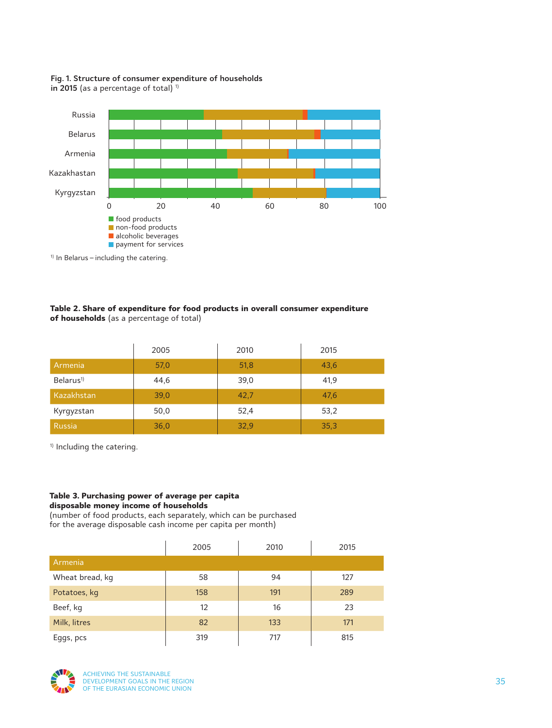#### **Fig. 1. Structure of consumer expenditure of households**  in 2015 (as a percentage of total)  $1$



1) In Belarus – including the catering.

#### **Table 2. Share of expenditure for food products in overall consumer expenditure of households** (as a percentage of total)

|                       | 2005 | 2010 | 2015 |
|-----------------------|------|------|------|
| Armenia               | 57,0 | 51,8 | 43,6 |
| Belarus <sup>1)</sup> | 44,6 | 39,0 | 41,9 |
| Kazakhstan            | 39,0 | 42,7 | 47,6 |
| Kyrgyzstan            | 50,0 | 52,4 | 53,2 |
| <b>Russia</b>         | 36,0 | 32,9 | 35,3 |

<sup>1)</sup> Including the catering.

#### **Table 3. Purchasing power of average per capita disposable money income of households**

(number of food products, each separately, which can be purchased for the average disposable cash income per capita per month)

|                 | 2005 | 2010 | 2015 |
|-----------------|------|------|------|
| Armenia         |      |      |      |
| Wheat bread, kg | 58   | 94   | 127  |
| Potatoes, kg    | 158  | 191  | 289  |
| Beef, kg        | 12   | 16   | 23   |
| Milk, litres    | 82   | 133  | 171  |
| Eggs, pcs       | 319  | 717  | 815  |

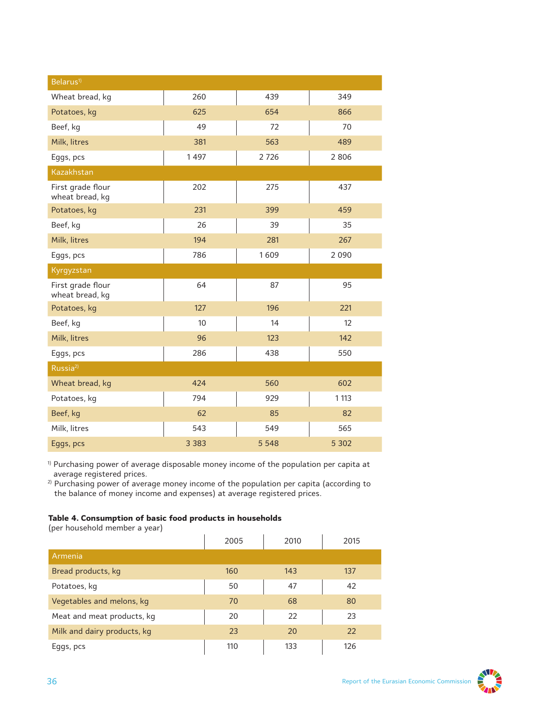| Belarus <sup>1)</sup>                |         |         |         |
|--------------------------------------|---------|---------|---------|
| Wheat bread, kg                      | 260     | 439     | 349     |
| Potatoes, kg                         | 625     | 654     | 866     |
| Beef, kg                             | 49      | 72      | 70      |
| Milk, litres                         | 381     | 563     | 489     |
| Eggs, pcs                            | 1497    | 2726    | 2806    |
| Kazakhstan                           |         |         |         |
| First grade flour<br>wheat bread, kg | 202     | 275     | 437     |
| Potatoes, kg                         | 231     | 399     | 459     |
| Beef, kg                             | 26      | 39      | 35      |
| Milk, litres                         | 194     | 281     | 267     |
| Eggs, pcs                            | 786     | 1609    | 2 0 9 0 |
| Kyrgyzstan                           |         |         |         |
| First grade flour<br>wheat bread, kg | 64      | 87      | 95      |
| Potatoes, kg                         | 127     | 196     | 221     |
| Beef, kg                             | 10      | 14      | 12      |
| Milk, litres                         | 96      | 123     | 142     |
| Eggs, pcs                            | 286     | 438     | 550     |
| Russia <sup>2)</sup>                 |         |         |         |
| Wheat bread, kg                      | 424     | 560     | 602     |
| Potatoes, kg                         | 794     | 929     | 1 1 1 3 |
| Beef, kg                             | 62      | 85      | 82      |
| Milk, litres                         | 543     | 549     | 565     |
| Eggs, pcs                            | 3 3 8 3 | 5 5 4 8 | 5 3 0 2 |

<sup>1)</sup> Purchasing power of average disposable money income of the population per capita at average registered prices.

<sup>2)</sup> Purchasing power of average money income of the population per capita (according to the balance of money income and expenses) at average registered prices.

#### **Table 4. Consumption of basic food products in households**

(per household member a year)

|                             | 2005 | 2010 | 2015 |
|-----------------------------|------|------|------|
| Armenia                     |      |      |      |
| Bread products, kg          | 160  | 143  | 137  |
| Potatoes, kg                | 50   | 47   | 42   |
| Vegetables and melons, kg   | 70   | 68   | 80   |
| Meat and meat products, kg  | 20   | 22   | 23   |
| Milk and dairy products, kg | 23   | 20   | 22   |
| Eggs, pcs                   | 110  | 133  | 126  |

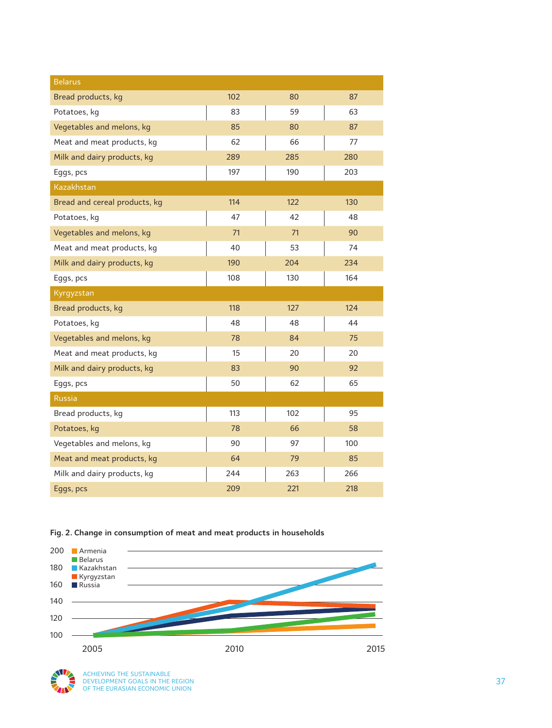| <b>Belarus</b>                |     |     |     |
|-------------------------------|-----|-----|-----|
| Bread products, kg            | 102 | 80  | 87  |
| Potatoes, kg                  | 83  | 59  | 63  |
| Vegetables and melons, kg     | 85  | 80  | 87  |
| Meat and meat products, kg    | 62  | 66  | 77  |
| Milk and dairy products, kg   | 289 | 285 | 280 |
| Eggs, pcs                     | 197 | 190 | 203 |
| Kazakhstan                    |     |     |     |
| Bread and cereal products, kg | 114 | 122 | 130 |
| Potatoes, kg                  | 47  | 42  | 48  |
| Vegetables and melons, kg     | 71  | 71  | 90  |
| Meat and meat products, kg    | 40  | 53  | 74  |
| Milk and dairy products, kg   | 190 | 204 | 234 |
| Eggs, pcs                     | 108 | 130 | 164 |
| Kyrgyzstan                    |     |     |     |
| Bread products, kg            | 118 | 127 | 124 |
| Potatoes, kg                  | 48  | 48  | 44  |
| Vegetables and melons, kg     | 78  | 84  | 75  |
| Meat and meat products, kg    | 15  | 20  | 20  |
| Milk and dairy products, kg   | 83  | 90  | 92  |
| Eggs, pcs                     | 50  | 62  | 65  |
| <b>Russia</b>                 |     |     |     |
| Bread products, kg            | 113 | 102 | 95  |
| Potatoes, kg                  | 78  | 66  | 58  |
| Vegetables and melons, kg     | 90  | 97  | 100 |
| Meat and meat products, kg    | 64  | 79  | 85  |
| Milk and dairy products, kg   | 244 | 263 | 266 |
| Eggs, pcs                     | 209 | 221 | 218 |

**Fig. 2. Change in consumption of meat and meat products in households**



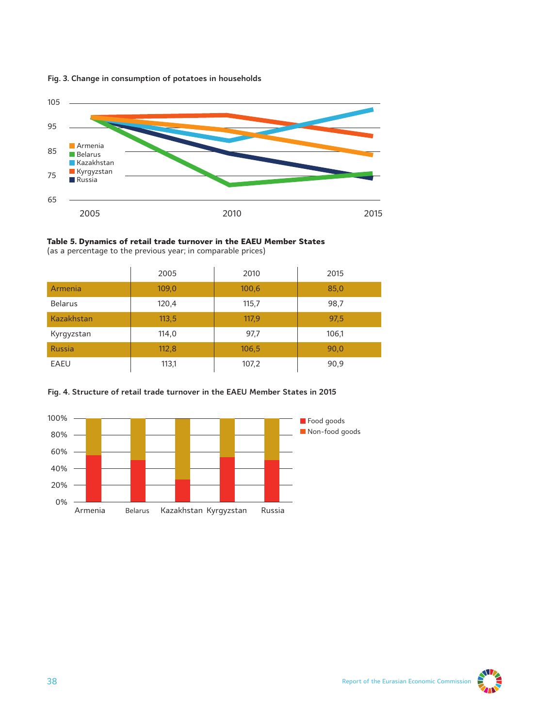

#### **Fig. 3. Change in consumption of potatoes in households**



|                   | 2005  | 2010  | 2015  |
|-------------------|-------|-------|-------|
| Armenia           | 109,0 | 100,6 | 85,0  |
| <b>Belarus</b>    | 120,4 | 115,7 | 98,7  |
| <b>Kazakhstan</b> | 113,5 | 117,9 | 97,5  |
| Kyrgyzstan        | 114,0 | 97,7  | 106,1 |
| <b>Russia</b>     | 112,8 | 106,5 | 90,0  |
| EAEU              | 113,1 | 107,2 | 90,9  |

#### **Fig. 4. Structure of retail trade turnover in the EAEU Member States in 2015**



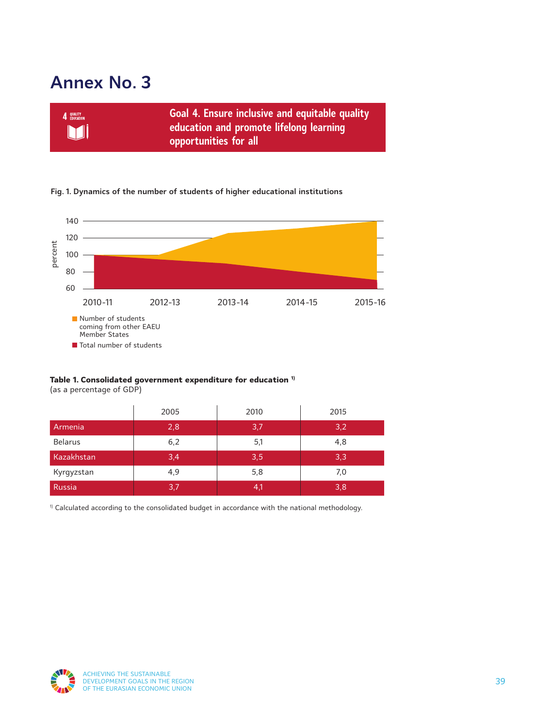# **Annex No. 3**



#### **Fig. 1. Dynamics of the number of students of higher educational institutions**



### **Table 1. Consolidated government expenditure for education 1)**

(as a percentage of GDP)

|                | 2005 | 2010 | 2015 |
|----------------|------|------|------|
| Armenia        | 2,8  | 3,7  | 3,2  |
| <b>Belarus</b> | 6,2  | 5,1  | 4,8  |
| Kazakhstan     | 3,4) | 3,5  | 3,3  |
| Kyrgyzstan     | 4,9  | 5,8  | 7,0  |
| Russia         | 3,7  | 4,1  | 3,8  |

<sup>1)</sup> Calculated according to the consolidated budget in accordance with the national methodology.

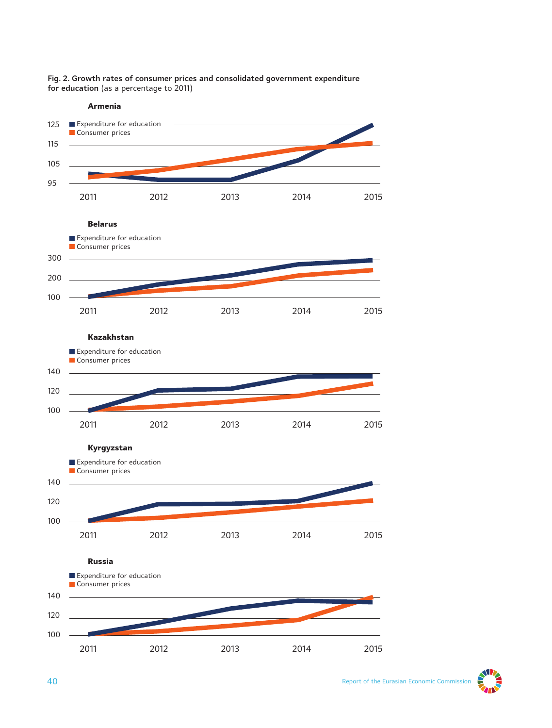#### **Fig. 2. Growth rates of consumer prices and consolidated government expenditure for education** (as a percentage to 2011)



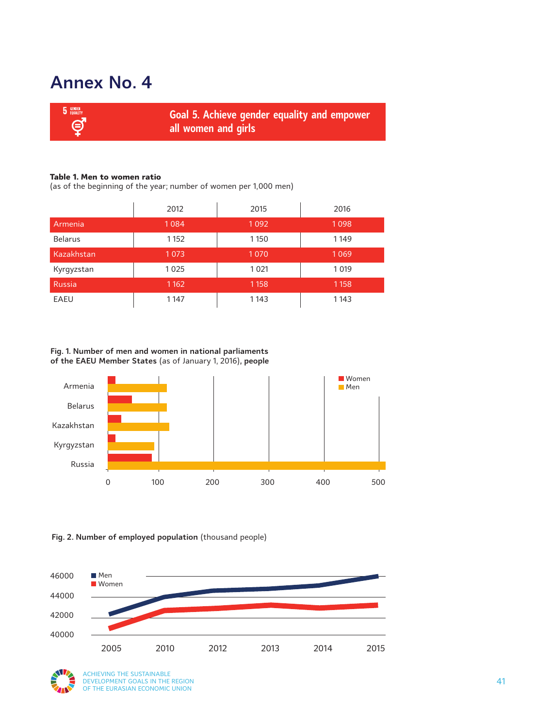### **Annex No. 4**

| <b>5</b> GENDER | <b>Goal 5. Achieve gender equality and empower</b> |
|-----------------|----------------------------------------------------|
| <b>6</b>        | all women and girls                                |

#### **Table 1. Men to women ratio**

(as of the beginning of the year; number of women per 1,000 men)

|                | 2012    | 2015    | 2016    |
|----------------|---------|---------|---------|
| Armenia        | 1084    | 1092    | 1098    |
| <b>Belarus</b> | 1 1 5 2 | 1150    | 1149    |
| Kazakhstan     | 1073    | 1070    | 1069    |
| Kyrgyzstan     | 1025    | 1021    | 1019    |
| <b>Russia</b>  | 1162    | 1 1 5 8 | 1 1 5 8 |
| EAEU           | 1147    | 1143    | 1143    |

**Fig. 1. Number of men and women in national parliaments of the EAEU Member States** (as of January 1, 2016)**, people**



**Fig. 2. Number of employed population** (thousand people)



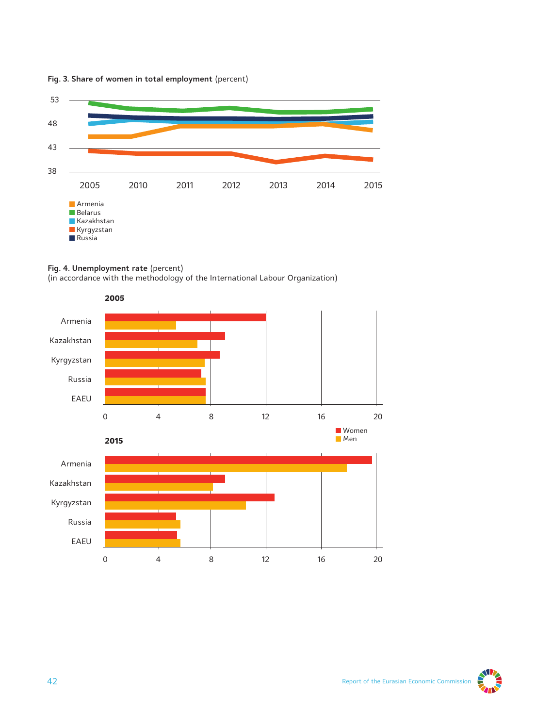

#### **Fig. 3. Share of women in total employment** (percent)



(in accordance with the methodology of the International Labour Organization)





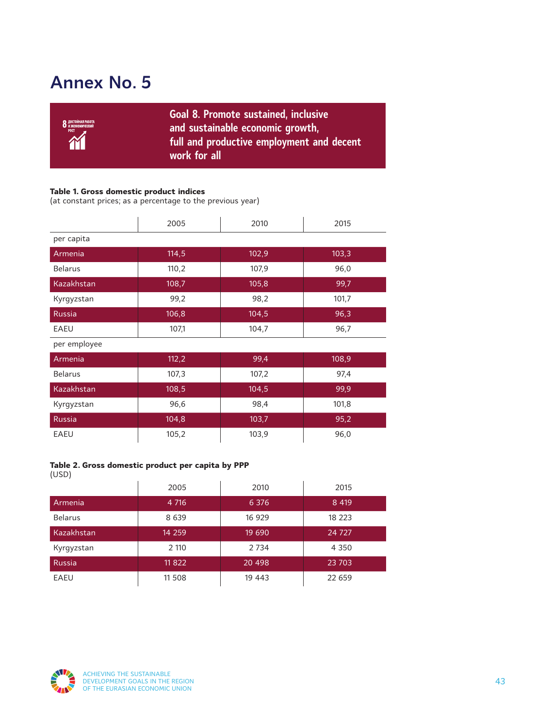# **Annex No. 5**

| <b>О</b> достойная работа<br><b>О</b> и экономический<br>POCT<br><b>TY</b> | Goal 8. Promote sustained, inclusive<br>and sustainable economic growth,<br>full and productive employment and decent<br>work for all' |
|----------------------------------------------------------------------------|----------------------------------------------------------------------------------------------------------------------------------------|
|----------------------------------------------------------------------------|----------------------------------------------------------------------------------------------------------------------------------------|

#### **Table 1. Gross domestic product indices**

(at constant prices; as a percentage to the previous year)

|                | 2005  | 2010  | 2015  |
|----------------|-------|-------|-------|
| per capita     |       |       |       |
| Armenia        | 114,5 | 102,9 | 103,3 |
| <b>Belarus</b> | 110,2 | 107,9 | 96,0  |
| Kazakhstan     | 108,7 | 105,8 | 99,7  |
| Kyrgyzstan     | 99,2  | 98,2  | 101,7 |
| Russia         | 106,8 | 104,5 | 96,3  |
| <b>EAEU</b>    | 107,1 | 104,7 | 96,7  |
| per employee   |       |       |       |
| Armenia        | 112,2 | 99,4  | 108,9 |
| <b>Belarus</b> | 107,3 | 107,2 | 97,4  |
| Kazakhstan     | 108,5 | 104,5 | 99,9  |
| Kyrgyzstan     | 96,6  | 98,4  | 101,8 |
| <b>Russia</b>  | 104,8 | 103,7 | 95,2  |
| <b>EAEU</b>    | 105,2 | 103,9 | 96,0  |

### **Table 2. Gross domestic product per capita by PPP**

(USD)

|                | 2005    | 2010    | 2015    |
|----------------|---------|---------|---------|
| Armenia        | 4 7 16  | 6 3 7 6 | 8 4 1 9 |
| <b>Belarus</b> | 8 6 3 9 | 16 929  | 18 223  |
| Kazakhstan     | 14 259  | 19 690  | 24 7 27 |
| Kyrgyzstan     | 2 1 1 0 | 2 7 3 4 | 4 3 5 0 |
| Russia         | 11822   | 20 498  | 23 703  |
| EAEU           | 11 508  | 19 4 43 | 22 659  |

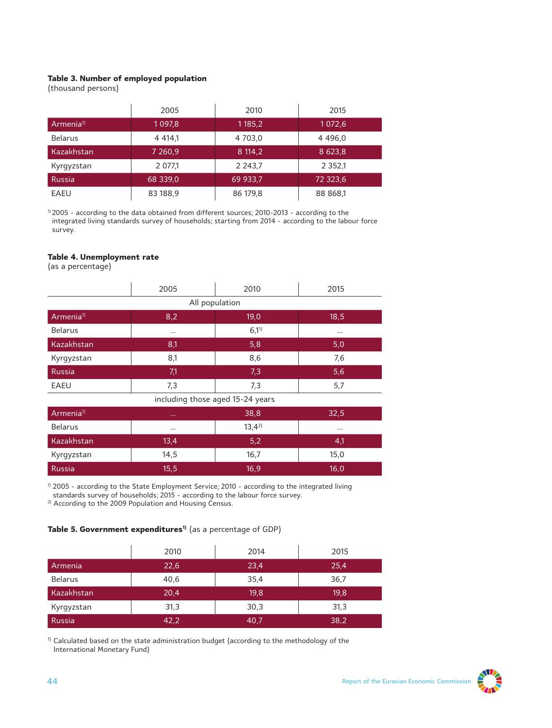#### **Table 3. Number of employed population**

(thousand persons)

|                      | 2005       | 2010        | 2015      |
|----------------------|------------|-------------|-----------|
| Armenia <sup>1</sup> | 1 0 9 7, 8 | 1 1 8 5 , 2 | 1072,6    |
| <b>Belarus</b>       | 4 4 14 1   | 4 7 0 3 , 0 | 4 4 9 6,0 |
| Kazakhstan           | 7 260,9    | 8 114,2     | 8 623,8   |
| Kyrgyzstan           | 2 077,1    | 2 2 4 3 , 7 | 2 3 5 2 1 |
| <b>Russia</b>        | 68 339,0   | 69 933,7    | 72 323,6  |
| EAEU                 | 83 188,9   | 86 179,8    | 88 868,1  |

1) 2005 - according to the data obtained from different sources; 2010-2013 - according to the integrated living standards survey of households; starting from 2014 - according to the labour force survey.

#### **Table 4. Unemployment rate**

(as a percentage)

|                                  | 2005        | 2010           | 2015     |  |
|----------------------------------|-------------|----------------|----------|--|
|                                  |             | All population |          |  |
| Armenia <sup>1</sup>             | 8,2         | 19,0           | 18,5     |  |
| <b>Belarus</b>                   | $\cdots$    | $6,1^{1}$      | $\cdots$ |  |
| Kazakhstan                       | 8,1         | 5,8            | 5,0      |  |
| Kyrgyzstan                       | 8,1         | 8,6            | 7,6      |  |
| Russia                           | 7,1         | 7,3            | 5,6      |  |
| EAEU                             | 7,3         | 7,3            | 5,7      |  |
| including those aged 15-24 years |             |                |          |  |
| Armenia <sup>1)</sup>            | $\sim 0.00$ | 38,8           | 32,5     |  |
| $D = 1 - 1$                      |             | 17.12          |          |  |

| Belarus    | $\cdots$ | $13,4^{2}$ | $\cdots$ |
|------------|----------|------------|----------|
| Kazakhstan | 13.4     | 5.2        | Ч.       |
| Kyrgyzstan | 14,5     | 16.7       | 15.0     |
| Russia     | 15,5     | 16,9       | 16.0     |

<sup>1)</sup> 2005 - according to the State Employment Service; 2010 - according to the integrated living standards survey of households; 2015 - according to the labour force survey.

<sup>2)</sup> According to the 2009 Population and Housing Census.

**Table 5. Government expenditures1)** (as a percentage of GDP)

|                | 2010 | 2014 | 2015 |
|----------------|------|------|------|
| Armenia        | 22,6 | 23,4 | 25,4 |
| <b>Belarus</b> | 40,6 | 35,4 | 36,7 |
| Kazakhstan     | 20,4 | 19,8 | 19,8 |
| Kyrgyzstan     | 31,3 | 30,3 | 31,3 |
| Russia         | 42,2 | 40,7 | 38,2 |

<sup>1)</sup> Calculated based on the state administration budget (according to the methodology of the International Monetary Fund)

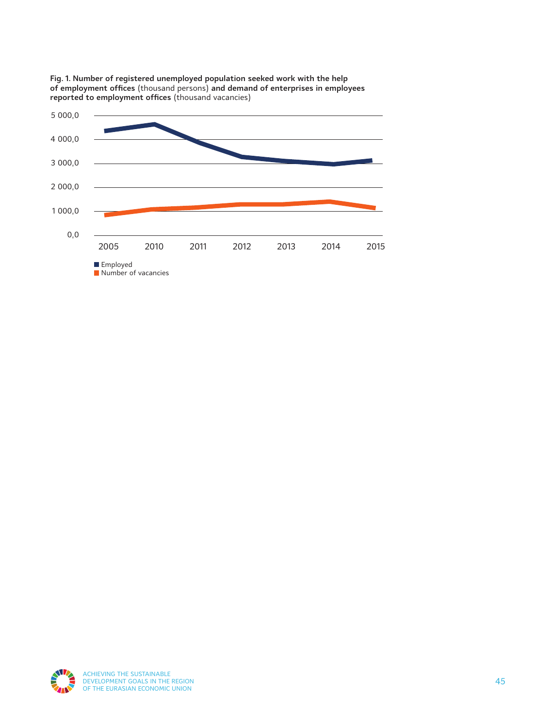

**Fig. 1. Number of registered unemployed population seeked work with the help of employment offices** (thousand persons) **and demand of enterprises in employees reported to employment offices** (thousand vacancies)

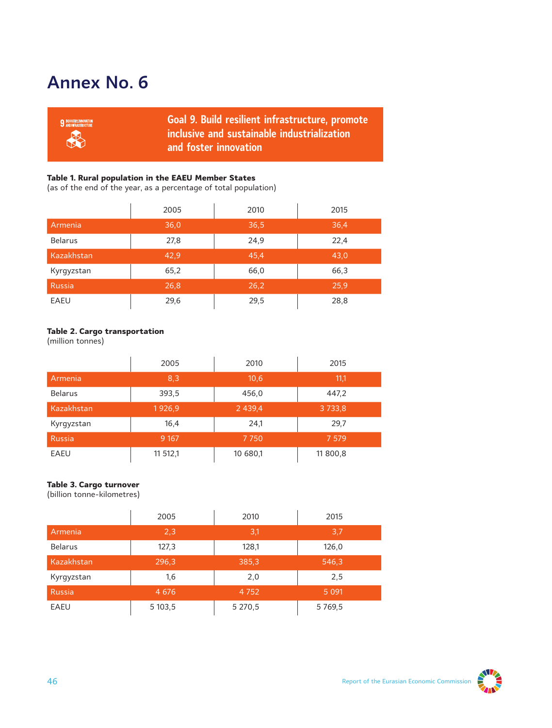# **Annex No. 6**

| <b>9 INDUSTRY, INNOVATION</b><br>KA | Goal 9. Build resilient infrastructure, promote<br>$\blacksquare$ inclusive and sustainable industrialization $\blacksquare$<br>and foster innovation |
|-------------------------------------|-------------------------------------------------------------------------------------------------------------------------------------------------------|
|                                     |                                                                                                                                                       |

#### **Table 1. Rural population in the EAEU Member States**

(as of the end of the year, as a percentage of total population)

|                | 2005 | 2010 | 2015 |
|----------------|------|------|------|
| Armenia        | 36,0 | 36,5 | 36,4 |
| <b>Belarus</b> | 27,8 | 24,9 | 22,4 |
| Kazakhstan     | 42,9 | 45,4 | 43,0 |
| Kyrgyzstan     | 65,2 | 66,0 | 66,3 |
| Russia         | 26,8 | 26.2 | 25,9 |
| EAEU           | 29,6 | 29,5 | 28,8 |

#### **Table 2. Cargo transportation**

(million tonnes)

|                | 2005     | 2010        | 2015        |
|----------------|----------|-------------|-------------|
| Armenia        | 8,3      | 10,6        | 11,1        |
| <b>Belarus</b> | 393,5    | 456,0       | 447.2       |
| Kazakhstan     | 1926,9   | 2 4 3 9 , 4 | 3 7 3 3 , 8 |
| Kyrgyzstan     | 16,4     | 24,1        | 29,7        |
| <b>Russia</b>  | 9 1 67   | 7750        | 7 5 7 9     |
| EAEU           | 11 512,1 | 10 680,1    | 11 800,8    |

### **Table 3. Cargo turnover**

(billion tonne-kilometres)

|                | 2005    | 2010    | 2015       |
|----------------|---------|---------|------------|
| Armenia        | 2,3     | 3,1     | 3,7        |
| <b>Belarus</b> | 127,3   | 128,1   | 126,0      |
| Kazakhstan     | 296,3   | 385,3   | 546,3      |
| Kyrgyzstan     | 1,6     | 2,0     | 2,5        |
| <b>Russia</b>  | 4 6 7 6 | 4 7 5 2 | 5 0 9 1    |
| EAEU           | 5 103,5 | 5 270,5 | 5 7 6 9, 5 |

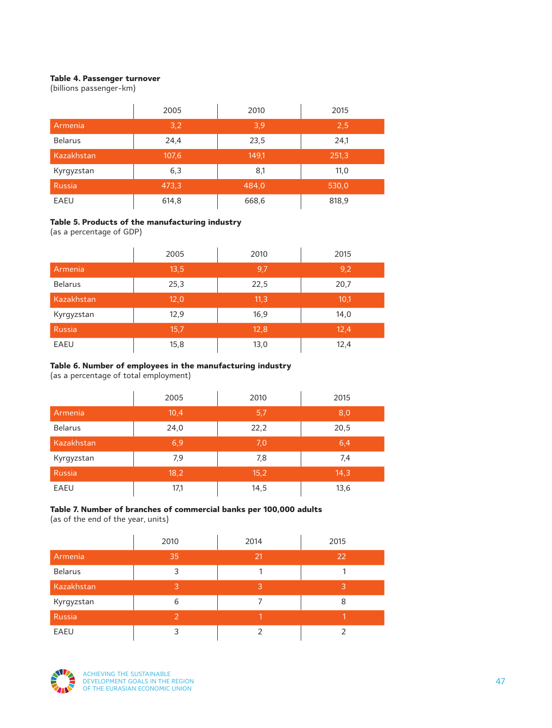#### **Table 4. Passenger turnover**

(billions passenger-km)

|                | 2005  | 2010  | 2015  |
|----------------|-------|-------|-------|
| Armenia        | 3,2   | 3,9   | 2,5   |
| <b>Belarus</b> | 24,4  | 23,5  | 24,1  |
| Kazakhstan     | 107,6 | 149,1 | 251,3 |
| Kyrgyzstan     | 6,3   | 8,1   | 11,0  |
| Russia         | 473,3 | 484,0 | 530,0 |
| EAEU           | 614,8 | 668,6 | 818,9 |

#### **Table 5. Products of the manufacturing industry**

(as a percentage of GDP)

|                | 2005 | 2010 | 2015 |
|----------------|------|------|------|
| Armenia        | 13,5 | 9,7  | 9,2  |
| <b>Belarus</b> | 25,3 | 22,5 | 20,7 |
| Kazakhstan     | 12,0 | 11,3 | 10,1 |
| Kyrgyzstan     | 12,9 | 16,9 | 14,0 |
| <b>Russia</b>  | 15,7 | 12,8 | 12,4 |
| EAEU           | 15,8 | 13,0 | 12,4 |

#### **Table 6. Number of employees in the manufacturing industry**

(as a percentage of total employment)

|                | 2005 | 2010 | 2015 |
|----------------|------|------|------|
| Armenia        | 10,4 | 5,7  | 8,0  |
| <b>Belarus</b> | 24,0 | 22,2 | 20,5 |
| Kazakhstan     | 6,9  | 7,0  | 6,4  |
| Kyrgyzstan     | 7,9  | 7,8  | 7,4  |
| <b>Russia</b>  | 18,2 | 15,2 | 14,3 |
| EAEU           | 17,1 | 14,5 | 13,6 |

### **Table 7. Number of branches of commercial banks per 100,000 adults**

(as of the end of the year, units)

|                | 2010           | 2014 | 2015 |
|----------------|----------------|------|------|
| Armenia        | 35             | 21   | 22   |
| <b>Belarus</b> | 3              |      |      |
| Kazakhstan     | 3              | 3    | 3    |
| Kyrgyzstan     | 6              |      | 8    |
| Russia         | $\overline{2}$ |      |      |
| EAEU           |                |      |      |

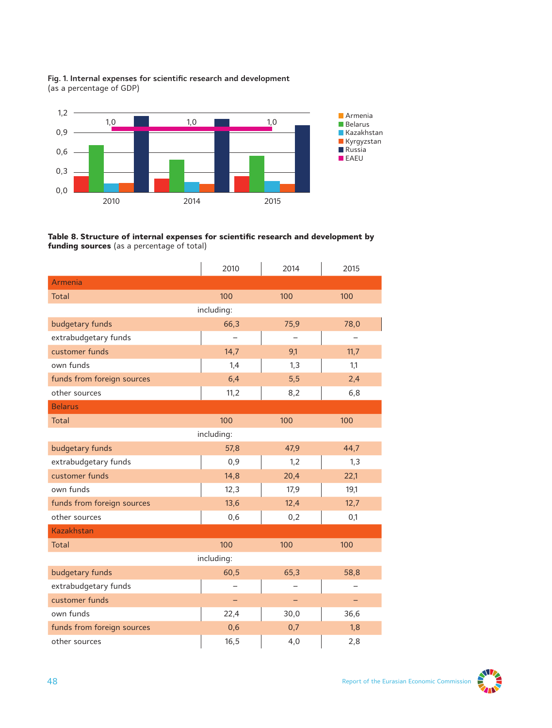





|                            | 2010       | 2014 | 2015 |
|----------------------------|------------|------|------|
| Armenia                    |            |      |      |
| Total                      | 100        | 100  | 100  |
|                            | including: |      |      |
| budgetary funds            | 66,3       | 75,9 | 78,0 |
| extrabudgetary funds       |            |      |      |
| customer funds             | 14,7       | 9,1  | 11,7 |
| own funds                  | 1,4        | 1,3  | 1,1  |
| funds from foreign sources | 6,4        | 5,5  | 2,4  |
| other sources              | 11,2       | 8,2  | 6,8  |
| <b>Belarus</b>             |            |      |      |
| <b>Total</b>               | 100        | 100  | 100  |
|                            | including: |      |      |
| budgetary funds            | 57,8       | 47,9 | 44,7 |
| extrabudgetary funds       | 0,9        | 1,2  | 1,3  |
| customer funds             | 14,8       | 20,4 | 22,1 |
| own funds                  | 12,3       | 17,9 | 19,1 |
| funds from foreign sources | 13,6       | 12,4 | 12,7 |
| other sources              | 0,6        | 0,2  | 0,1  |
| <b>Kazakhstan</b>          |            |      |      |
| Total                      | 100        | 100  | 100  |
|                            | including: |      |      |
| budgetary funds            | 60,5       | 65,3 | 58,8 |
| extrabudgetary funds       |            |      |      |
| customer funds             |            |      |      |
| own funds                  | 22,4       | 30,0 | 36,6 |
| funds from foreign sources | 0,6        | 0,7  | 1,8  |
| other sources              | 16, 5      | 4,0  | 2,8  |

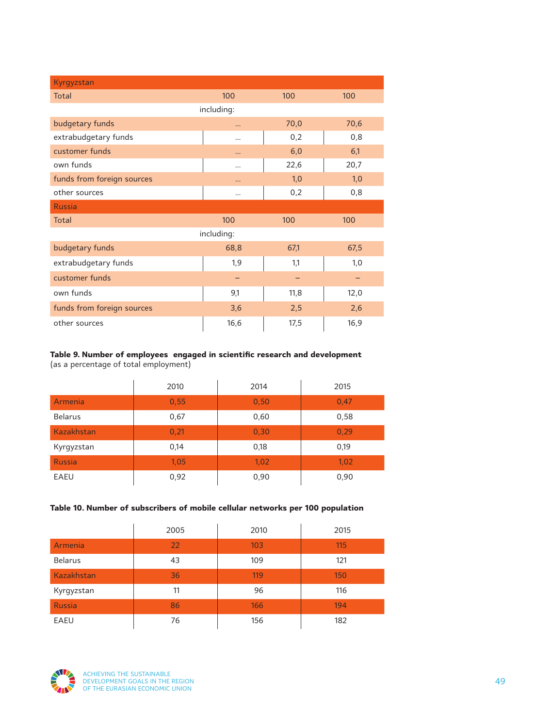| Kyrgyzstan                 |            |      |      |
|----------------------------|------------|------|------|
| <b>Total</b>               | 100        | 100  | 100  |
|                            | including: |      |      |
| budgetary funds            | $\cdots$   | 70,0 | 70,6 |
| extrabudgetary funds       |            | 0,2  | 0,8  |
| customer funds             | $\cdots$   | 6,0  | 6,1  |
| own funds                  |            | 22,6 | 20,7 |
| funds from foreign sources |            | 1,0  | 1,0  |
| other sources              |            | 0,2  | 0,8  |
| <b>Russia</b>              |            |      |      |
| <b>Total</b>               | 100        | 100  | 100  |
|                            | including: |      |      |
| budgetary funds            | 68,8       | 67,1 | 67,5 |
| extrabudgetary funds       | 1,9        | 1,1  | 1,0  |
| customer funds             |            |      |      |
| own funds                  | 9,1        | 11,8 | 12,0 |
| funds from foreign sources | 3,6        | 2,5  | 2,6  |
| other sources              | 16, 6      | 17,5 | 16,9 |

### **Table 9. Number of employees engaged in scientific research and development**

(as a percentage of total employment)

|                   | 2010 | 2014 | 2015 |
|-------------------|------|------|------|
| Armenia           | 0,55 | 0,50 | 0,47 |
| <b>Belarus</b>    | 0,67 | 0,60 | 0,58 |
| <b>Kazakhstan</b> | 0,21 | 0,30 | 0,29 |
| Kyrgyzstan        | 0,14 | 0,18 | 0,19 |
| <b>Russia</b>     | 1,05 | 1,02 | 1,02 |
| EAEU              | 0,92 | 0,90 | 0,90 |

#### **Table 10. Number of subscribers of mobile cellular networks per 100 population**

|                | 2005 | 2010 | 2015 |
|----------------|------|------|------|
| Armenia        | 22   | 103  | 115  |
| <b>Belarus</b> | 43   | 109  | 121  |
| Kazakhstan     | 36   | 119  | 150  |
| Kyrgyzstan     | 11   | 96   | 116  |
| <b>Russia</b>  | 86   | 166  | 194  |
| EAEU           | 76   | 156  | 182  |

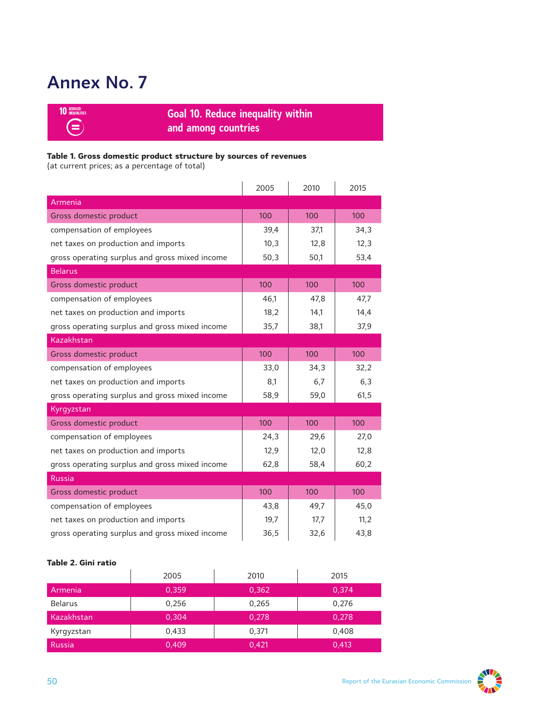# **Annex No. 7**



**Goal 10. Reduce inequality within and among countries**

### **Table 1. Gross domestic product structure by sources of revenues**

(at current prices; as a percentage of total)

|                                                | 2005 | 2010 | 2015 |
|------------------------------------------------|------|------|------|
| Armenia                                        |      |      |      |
| Gross domestic product                         | 100  | 100  | 100  |
| compensation of employees                      | 39,4 | 37.1 | 34,3 |
| net taxes on production and imports            | 10,3 | 12,8 | 12,3 |
| gross operating surplus and gross mixed income | 50,3 | 50,1 | 53,4 |
| <b>Belarus</b>                                 |      |      |      |
| Gross domestic product                         | 100  | 100  | 100  |
| compensation of employees                      | 46.1 | 47,8 | 47,7 |
| net taxes on production and imports            | 18,2 | 14,1 | 14,4 |
| gross operating surplus and gross mixed income | 35,7 | 38,1 | 37,9 |
| Kazakhstan                                     |      |      |      |
| Gross domestic product                         | 100  | 100  | 100  |
| compensation of employees                      | 33,0 | 34,3 | 32,2 |
| net taxes on production and imports            | 8,1  | 6,7  | 6,3  |
| gross operating surplus and gross mixed income | 58,9 | 59,0 | 61,5 |
| Kyrgyzstan                                     |      |      |      |
| Gross domestic product                         | 100  | 100  | 100  |
| compensation of employees                      | 24,3 | 29,6 | 27,0 |
| net taxes on production and imports            | 12,9 | 12,0 | 12,8 |
| gross operating surplus and gross mixed income | 62,8 | 58,4 | 60,2 |
| <b>Russia</b>                                  |      |      |      |
| Gross domestic product                         | 100  | 100  | 100  |
| compensation of employees                      | 43,8 | 49,7 | 45,0 |
| net taxes on production and imports            | 19,7 | 17,7 | 11,2 |
| gross operating surplus and gross mixed income | 36,5 | 32,6 | 43,8 |

#### **Table 2. Gini ratio**

|                | 2005  | 2010  | 2015  |
|----------------|-------|-------|-------|
| Armenia        | 0,359 | 0,362 | 0.374 |
| <b>Belarus</b> | 0,256 | 0,265 | 0.276 |
| Kazakhstan     | 0,304 | 0,278 | 0,278 |
| Kyrgyzstan     | 0,433 | 0,371 | 0.408 |
| l Russia       | 0,409 | 0,421 | 0,413 |

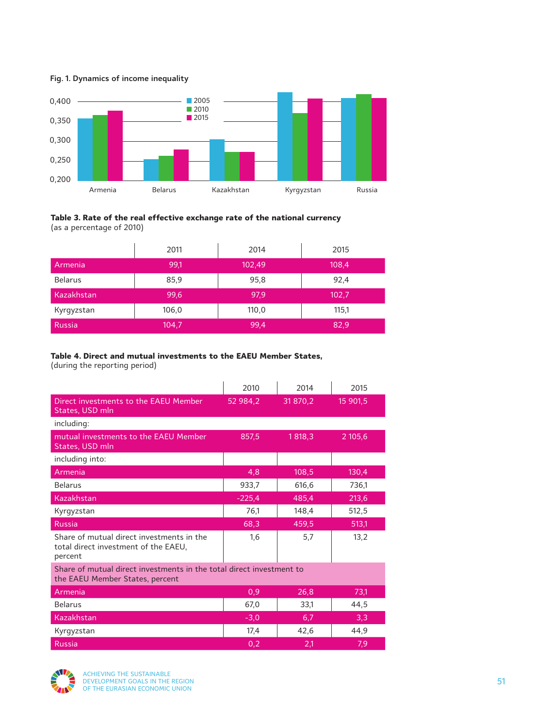#### **Fig. 1. Dynamics of income inequality**



#### **Table 3. Rate of the real effective exchange rate of the national currency** (as a percentage of 2010)

|                | 2011  | 2014   | 2015  |
|----------------|-------|--------|-------|
| Armenia        | 99,1  | 102,49 | 108,4 |
| <b>Belarus</b> | 85,9  | 95,8   | 92,4  |
| Kazakhstan     | 99,6  | 97,9   | 102,7 |
| Kyrgyzstan     | 106,0 | 110,0  | 115,1 |
| Russia         | 104,7 | 99,4   | 82,9  |

#### **Table 4. Direct and mutual investments to the EAEU Member States,**

(during the reporting period)

|                                                                                                         | 2010     | 2014     | 2015     |
|---------------------------------------------------------------------------------------------------------|----------|----------|----------|
| Direct investments to the EAEU Member<br>States, USD mln                                                | 52 984,2 | 31 870,2 | 15 901,5 |
| including:                                                                                              |          |          |          |
| mutual investments to the EAEU Member<br>States, USD mln                                                | 857.5    | 1818.3   | 2 105,6  |
| including into:                                                                                         |          |          |          |
| Armenia                                                                                                 | 4,8      | 108,5    | 130,4    |
| <b>Belarus</b>                                                                                          | 933,7    | 616,6    | 736,1    |
| Kazakhstan                                                                                              | $-225,4$ | 485,4    | 213,6    |
| Kyrgyzstan                                                                                              | 76.1     | 148,4    | 512,5    |
| <b>Russia</b>                                                                                           | 68,3     | 459,5    | 513,1    |
| Share of mutual direct investments in the<br>total direct investment of the EAEU,<br>percent            | 1,6      | 5,7      | 13,2     |
| Share of mutual direct investments in the total direct investment to<br>the EAEU Member States, percent |          |          |          |
| Armenia                                                                                                 | 0,9      | 26,8     | 73.1     |
| <b>Belarus</b>                                                                                          | 67,0     | 33,1     | 44,5     |
| Kazakhstan                                                                                              | $-3,0$   | 6,7      | 3,3      |
| Kyrgyzstan                                                                                              | 17,4     | 42,6     | 44,9     |
| <b>Russia</b>                                                                                           | 0,2      | 2,1      | 7,9      |

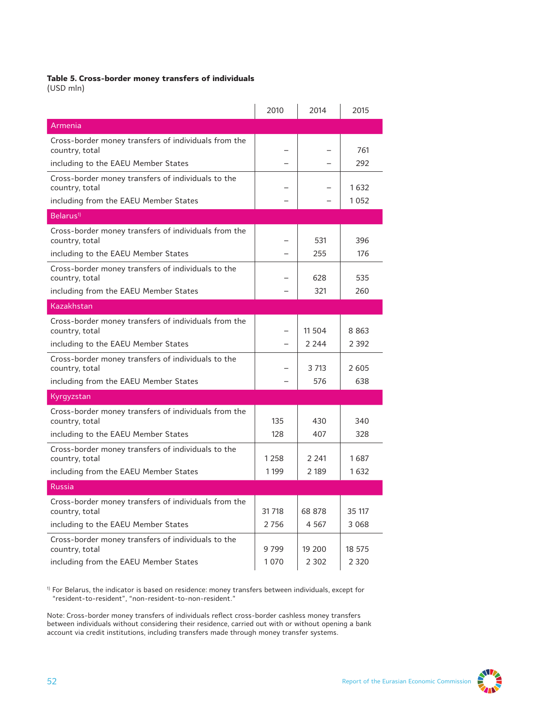#### **Table 5. Cross-border money transfers of individuals**

(USD mln)

|                                                                        | 2010    | 2014    | 2015    |
|------------------------------------------------------------------------|---------|---------|---------|
| Armenia                                                                |         |         |         |
| Cross-border money transfers of individuals from the<br>country, total |         |         | 761     |
| including to the EAEU Member States                                    |         |         | 292     |
| Cross-border money transfers of individuals to the<br>country, total   |         |         | 1632    |
| including from the EAEU Member States                                  |         |         | 1052    |
| Belarus <sup>1)</sup>                                                  |         |         |         |
| Cross-border money transfers of individuals from the<br>country, total |         | 531     | 396     |
| including to the EAEU Member States                                    |         | 255     | 176     |
| Cross-border money transfers of individuals to the<br>country, total   |         | 628     | 535     |
| including from the EAEU Member States                                  |         | 321     | 260     |
| Kazakhstan                                                             |         |         |         |
| Cross-border money transfers of individuals from the<br>country, total |         | 11 504  | 8863    |
| including to the EAEU Member States                                    |         | 2 2 4 4 | 2 3 9 2 |
| Cross-border money transfers of individuals to the<br>country, total   |         | 3 713   | 2605    |
| including from the EAEU Member States                                  |         | 576     | 638     |
| Kyrgyzstan                                                             |         |         |         |
| Cross-border money transfers of individuals from the<br>country, total | 135     | 430     | 340     |
| including to the EAEU Member States                                    | 128     | 407     | 328     |
| Cross-border money transfers of individuals to the<br>country, total   | 1 2 5 8 | 2 2 4 1 | 1687    |
| including from the EAEU Member States                                  | 1 1 9 9 | 2 189   | 1632    |
| <b>Russia</b>                                                          |         |         |         |
| Cross-border money transfers of individuals from the<br>country, total | 31 718  | 68 878  | 35 117  |
| including to the EAEU Member States                                    | 2756    | 4 5 6 7 | 3 0 6 8 |
| Cross-border money transfers of individuals to the<br>country, total   | 9799    | 19 200  | 18 575  |
| including from the EAEU Member States                                  | 1070    | 2 3 0 2 | 2 3 2 0 |

 $^{\rm 1)}$  For Belarus, the indicator is based on residence: money transfers between individuals, except for "resident-to-resident", "non-resident-to-non-resident."

Note: Cross-border money transfers of individuals reflect cross-border cashless money transfers between individuals without considering their residence, carried out with or without opening a bank account via credit institutions, including transfers made through money transfer systems.

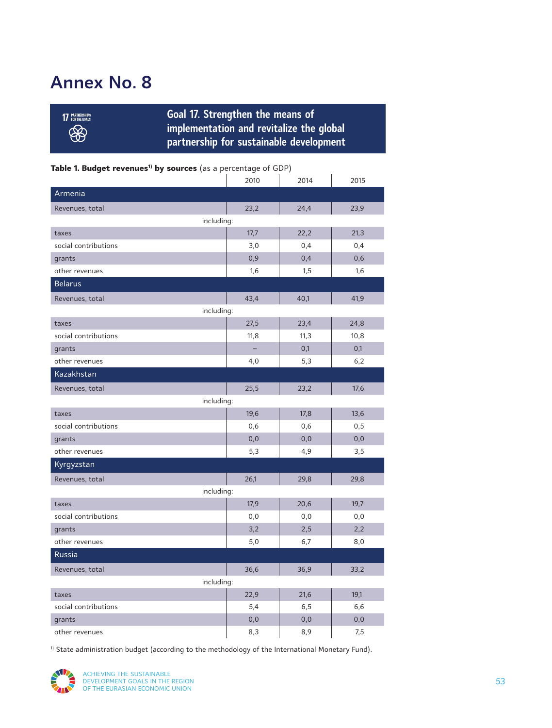# **Annex No. 8**

**Goal 17. Strengthen the means of implementation and revitalize the global partnership for sustainable development**

### Table 1. Budget revenues<sup>1)</sup> by sources (as a percentage of GDP)

|                      | 2010 | 2014 | 2015 |  |
|----------------------|------|------|------|--|
| Armenia              |      |      |      |  |
| Revenues, total      | 23,2 | 24,4 | 23,9 |  |
| including:           |      |      |      |  |
| taxes                | 17,7 | 22,2 | 21,3 |  |
| social contributions | 3,0  | 0,4  | 0,4  |  |
| grants               | 0,9  | 0,4  | 0,6  |  |
| other revenues       | 1,6  | 1,5  | 1,6  |  |
| <b>Belarus</b>       |      |      |      |  |
| Revenues, total      | 43,4 | 40,1 | 41,9 |  |
| including:           |      |      |      |  |
| taxes                | 27,5 | 23,4 | 24,8 |  |
| social contributions | 11,8 | 11,3 | 10,8 |  |
| grants               |      | 0,1  | 0,1  |  |
| other revenues       | 4,0  | 5,3  | 6,2  |  |
| Kazakhstan           |      |      |      |  |
| Revenues, total      | 25,5 | 23,2 | 17,6 |  |
| including:           |      |      |      |  |
| taxes                | 19,6 | 17,8 | 13,6 |  |
| social contributions | 0,6  | 0,6  | 0, 5 |  |
| grants               | 0, 0 | 0,0  | 0,0  |  |
| other revenues       | 5,3  | 4,9  | 3,5  |  |
| Kyrgyzstan           |      |      |      |  |
| Revenues, total      | 26,1 | 29,8 | 29,8 |  |
| including:           |      |      |      |  |
| taxes                | 17,9 | 20,6 | 19,7 |  |
| social contributions | 0, 0 | 0, 0 | 0, 0 |  |
| grants               | 3,2  | 2,5  | 2,2  |  |
| other revenues       | 5,0  | 6,7  | 8,0  |  |
| Russia               |      |      |      |  |
| Revenues, total      | 36,6 | 36,9 | 33,2 |  |
| including:           |      |      |      |  |
| taxes                | 22,9 | 21,6 | 19,1 |  |
| social contributions | 5,4  | 6, 5 | 6,6  |  |
| grants               | 0, 0 | 0,0  | 0,0  |  |
| other revenues       | 8,3  | 8,9  | 7,5  |  |

<sup>1)</sup> State administration budget (according to the methodology of the International Monetary Fund).



**<sup>17</sup> PARTNERSHIPS** 88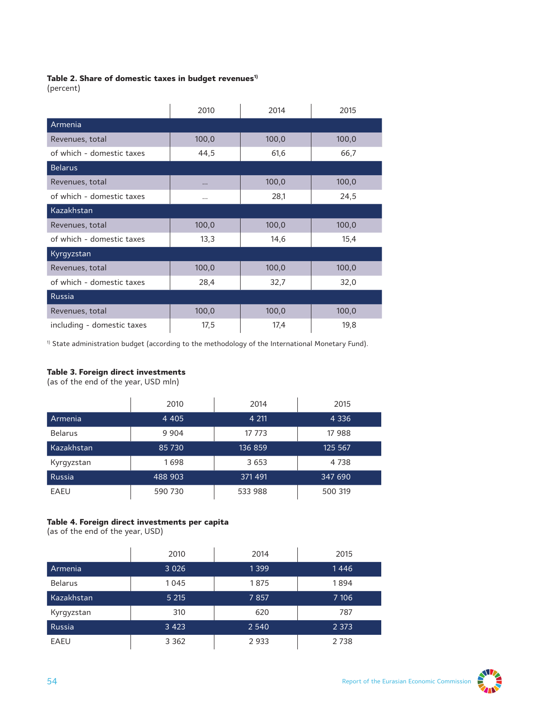#### Table 2. Share of domestic taxes in budget revenues<sup>1)</sup>

(percent)

|                            | 2010     | 2014  | 2015  |  |
|----------------------------|----------|-------|-------|--|
| Armenia                    |          |       |       |  |
| Revenues, total            | 100,0    | 100,0 | 100,0 |  |
| of which - domestic taxes  | 44,5     | 61,6  | 66,7  |  |
| <b>Belarus</b>             |          |       |       |  |
| Revenues, total            | $\cdots$ | 100,0 | 100,0 |  |
| of which - domestic taxes  |          | 28,1  | 24,5  |  |
| Kazakhstan                 |          |       |       |  |
| Revenues, total            | 100,0    | 100,0 | 100,0 |  |
| of which - domestic taxes  | 13,3     | 14,6  | 15,4  |  |
| Kyrgyzstan                 |          |       |       |  |
| Revenues, total            | 100,0    | 100,0 | 100,0 |  |
| of which - domestic taxes  | 28,4     | 32,7  | 32,0  |  |
| Russia                     |          |       |       |  |
| Revenues, total            | 100,0    | 100,0 | 100,0 |  |
| including - domestic taxes | 17,5     | 17,4  | 19,8  |  |

<sup>1)</sup> State administration budget (according to the methodology of the International Monetary Fund).

#### **Table 3. Foreign direct investments**

(as of the end of the year, USD mln)

|                | 2010    | 2014    | 2015    |
|----------------|---------|---------|---------|
| Armenia        | 4 4 0 5 | 4 2 1 1 | 4 3 3 6 |
| <b>Belarus</b> | 9 9 0 4 | 17 773  | 17 988  |
| Kazakhstan     | 85 730  | 136 859 | 125 567 |
| Kyrgyzstan     | 1698    | 3 653   | 4 7 3 8 |
| Russia         | 488 903 | 371 491 | 347 690 |
| EAEU           | 590 730 | 533 988 | 500 319 |

### **Table 4. Foreign direct investments per capita**

(as of the end of the year, USD)

|                | 2010    | 2014    | 2015    |
|----------------|---------|---------|---------|
| Armenia        | 3 0 2 6 | 1399    | 1446    |
| <b>Belarus</b> | 1045    | 1875    | 1894    |
| Kazakhstan     | 5 2 1 5 | 7857    | 7 10 6  |
| Kyrgyzstan     | 310     | 620     | 787     |
| Russia         | 3 4 2 3 | 2 5 4 0 | 2 3 7 3 |
| EAEU           | 3 3 6 2 | 2933    | 2738    |

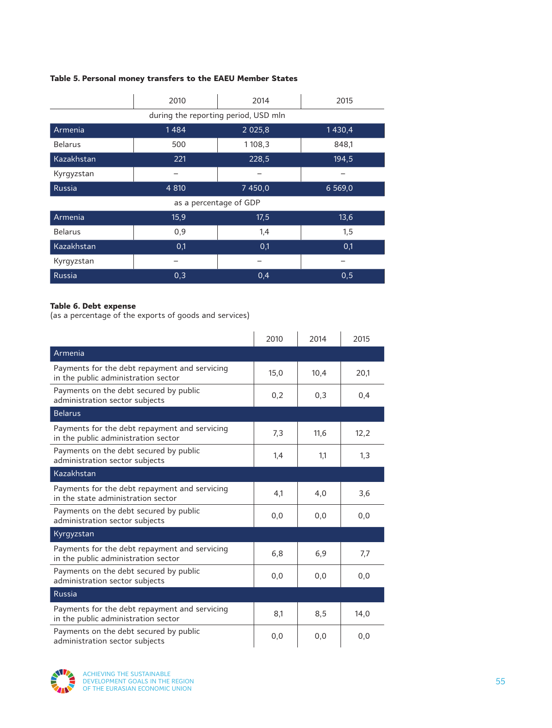### **Table 5. Personal money transfers to the EAEU Member States**

|                        | 2010                                 | 2014       | 2015       |  |  |
|------------------------|--------------------------------------|------------|------------|--|--|
|                        | during the reporting period, USD mln |            |            |  |  |
| Armenia                | 1484                                 | 2 0 2 5, 8 | 1430,4     |  |  |
| <b>Belarus</b>         | 500                                  | 1108,3     | 848,1      |  |  |
| Kazakhstan             | 221                                  | 228,5      | 194,5      |  |  |
| Kyrgyzstan             |                                      |            |            |  |  |
| <b>Russia</b>          | 4 8 10                               | 7 450,0    | 6 5 6 9, 0 |  |  |
| as a percentage of GDP |                                      |            |            |  |  |
| Armenia                | 15,9                                 | 17,5       | 13,6       |  |  |
| <b>Belarus</b>         | 0,9                                  | 1,4        | 1,5        |  |  |
| Kazakhstan             | 0,1                                  | 0,1        | 0,1        |  |  |
| Kyrgyzstan             |                                      |            |            |  |  |
| Russia                 | 0,3                                  | 0,4        | 0,5        |  |  |

#### **Table 6. Debt expense**

(as a percentage of the exports of goods and services)

|                                                                                      | 2010 | 2014 | 2015 |
|--------------------------------------------------------------------------------------|------|------|------|
| Armenia                                                                              |      |      |      |
| Payments for the debt repayment and servicing<br>in the public administration sector | 15,0 | 10,4 | 20,1 |
| Payments on the debt secured by public<br>administration sector subjects             | 0,2  | 0,3  | 0,4  |
| <b>Belarus</b>                                                                       |      |      |      |
| Payments for the debt repayment and servicing<br>in the public administration sector | 7,3  | 11,6 | 12,2 |
| Payments on the debt secured by public<br>administration sector subjects             | 1,4  | 1,1  | 1,3  |
| Kazakhstan                                                                           |      |      |      |
| Payments for the debt repayment and servicing<br>in the state administration sector  | 4,1  | 4,0  | 3,6  |
| Payments on the debt secured by public<br>administration sector subjects             | 0, 0 | 0,0  | 0,0  |
| Kyrgyzstan                                                                           |      |      |      |
| Payments for the debt repayment and servicing<br>in the public administration sector | 6,8  | 6,9  | 7,7  |
| Payments on the debt secured by public<br>administration sector subjects             | 0, 0 | 0, 0 | 0, 0 |
| <b>Russia</b>                                                                        |      |      |      |
| Payments for the debt repayment and servicing<br>in the public administration sector | 8,1  | 8,5  | 14,0 |
| Payments on the debt secured by public<br>administration sector subjects             | 0,0  | 0,0  | 0,0  |